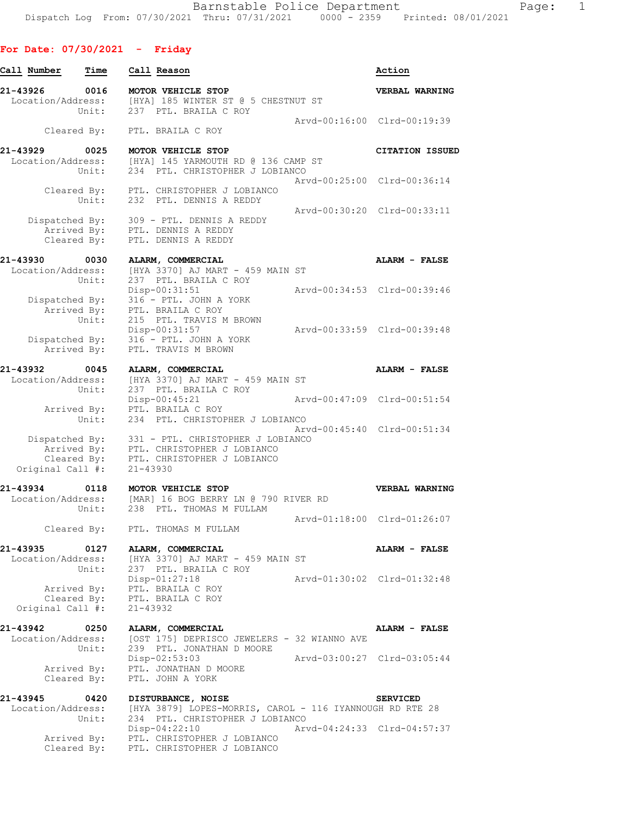| Call Number                   | Time                                | Call Reason                                                                                                      | Action                      |
|-------------------------------|-------------------------------------|------------------------------------------------------------------------------------------------------------------|-----------------------------|
| 21-43926<br>Location/Address: | 0016<br>Unit:                       | MOTOR VEHICLE STOP<br>[HYA] 185 WINTER ST @ 5 CHESTNUT ST<br>237 PTL. BRAILA C ROY                               | VERBAL WARNING              |
|                               | Cleared By:                         | PTL. BRAILA C ROY                                                                                                | Arvd-00:16:00 Clrd-00:19:39 |
| 21-43929<br>Location/Address: | 0025                                | MOTOR VEHICLE STOP<br>[HYA] 145 YARMOUTH RD @ 136 CAMP ST                                                        | <b>CITATION ISSUED</b>      |
|                               | Unit:                               | 234 PTL. CHRISTOPHER J LOBIANCO                                                                                  | Arvd-00:25:00 Clrd-00:36:14 |
|                               |                                     | Cleared By: PTL. CHRISTOPHER J LOBIANCO<br>Unit: 232 PTL. DENNIS A REDDY                                         | Arvd-00:30:20 Clrd-00:33:11 |
| Dispatched By:                | Cleared By:                         | 309 - PTL. DENNIS A REDDY<br>Arrived By: PTL. DENNIS A REDDY<br>PTL. DENNIS A REDDY                              |                             |
| 21-43930<br>Location/Address: | 0030<br>Unit:                       | ALARM, COMMERCIAL<br>[HYA 3370] AJ MART - 459 MAIN ST<br>237 PTL. BRAILA C ROY                                   | ALARM - FALSE               |
| Dispatched By:                | Arrived By:<br>Unit:                | Disp-00:31:51<br>316 - PTL. JOHN A YORK<br>PTL. BRAILA C ROY<br>215 PTL. TRAVIS M BROWN                          | Arvd-00:34:53 Clrd-00:39:46 |
|                               | Arrived By:                         | Disp-00:31:57<br>Dispatched By: 316 - PTL. JOHN A YORK<br>PTL. TRAVIS M BROWN                                    | Arvd-00:33:59 Clrd-00:39:48 |
| 21-43932<br>Location/Address: | 0045                                | ALARM, COMMERCIAL<br>[HYA 3370] AJ MART - 459 MAIN ST                                                            | ALARM - FALSE               |
|                               | Unit:<br>Arrived By:                | 237 PTL. BRAILA C ROY<br>$Disp-00:45:21$<br>PTL. BRAILA C ROY                                                    | Arvd-00:47:09 Clrd-00:51:54 |
| Dispatched By:                | Unit:                               | 234 PTL. CHRISTOPHER J LOBIANCO<br>331 - PTL. CHRISTOPHER J LOBIANCO                                             | Arvd-00:45:40 Clrd-00:51:34 |
| Original Call #:              | Arrived By:<br>Cleared By:          | PTL. CHRISTOPHER J LOBIANCO<br>PTL. CHRISTOPHER J LOBIANCO<br>$21 - 43930$                                       |                             |
| 21-43934                      | 0118<br>Unit:                       | MOTOR VEHICLE STOP<br>Location/Address: [MAR] 16 BOG BERRY LN @ 790 RIVER RD<br>238 PTL. THOMAS M FULLAM         | VERBAL WARNING              |
|                               | Cleared By:                         | PTL. THOMAS M FULLAM                                                                                             | Arvd-01:18:00 Clrd-01:26:07 |
| 21-43935<br>Location/Address: | 0127<br>Unit:                       | ALARM, COMMERCIAL<br>[HYA 3370] AJ MART - 459 MAIN ST<br>237 PTL. BRAILA C ROY                                   | ALARM - FALSE               |
| Original Call #:              | Arrived By:<br>Cleared By:          | Disp-01:27:18<br>PTL. BRAILA C ROY<br>PTL. BRAILA C ROY<br>$21 - 43932$                                          | Arvd-01:30:02 Clrd-01:32:48 |
| 21-43942<br>Location/Address: | 0250<br>Unit:                       | ALARM, COMMERCIAL<br>[OST 175] DEPRISCO JEWELERS - 32 WIANNO AVE<br>239 PTL. JONATHAN D MOORE                    | ALARM - FALSE               |
|                               | Arrived By:<br>Cleared By:          | Disp-02:53:03<br>PTL. JONATHAN D MOORE<br>PTL. JOHN A YORK                                                       | Arvd-03:00:27 Clrd-03:05:44 |
| 21-43945<br>Location/Address: | 0420                                | DISTURBANCE, NOISE<br>[HYA 3879] LOPES-MORRIS, CAROL - 116 IYANNOUGH RD RTE 28                                   | <b>SERVICED</b>             |
|                               | Unit:<br>Arrived By:<br>Cleared By: | 234 PTL. CHRISTOPHER J LOBIANCO<br>$Disp-04:22:10$<br>PTL. CHRISTOPHER J LOBIANCO<br>PTL. CHRISTOPHER J LOBIANCO | Arvd-04:24:33 Clrd-04:57:37 |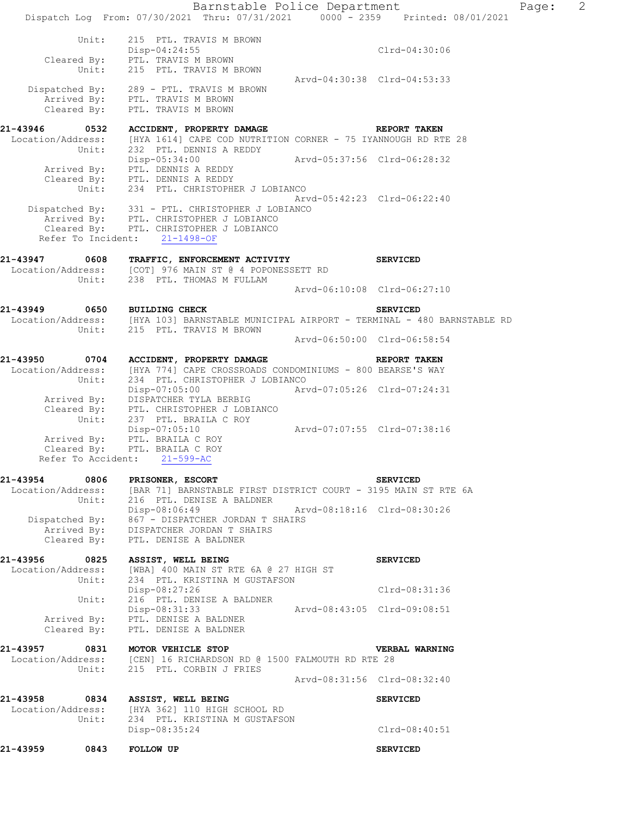Barnstable Police Department Page: 2 Dispatch Log From: 07/30/2021 Thru: 07/31/2021 0000 - 2359 Printed: 08/01/2021 Unit: 215 PTL. TRAVIS M BROWN Disp-04:24:55 Clrd-04:30:06 Cleared By: PTL. TRAVIS M BROWN Unit: 215 PTL. TRAVIS M BROWN Arvd-04:30:38 Clrd-04:53:33 Dispatched By: 289 - PTL. TRAVIS M BROWN Arrived By: PTL. TRAVIS M BROWN Cleared By: PTL. TRAVIS M BROWN **21-43946 0532 ACCIDENT, PROPERTY DAMAGE REPORT TAKEN**  Location/Address: [HYA 1614] CAPE COD NUTRITION CORNER - 75 IYANNOUGH RD RTE 28 Unit: 232 PTL. DENNIS A REDDY Disp-05:34:00 Arvd-05:37:56 Clrd-06:28:32 Arrived By: PTL. DENNIS A REDDY Cleared By: PTL. DENNIS A REDDY Unit: 234 PTL. CHRISTOPHER J LOBIANCO Arvd-05:42:23 Clrd-06:22:40 Dispatched By: 331 - PTL. CHRISTOPHER J LOBIANCO Arrived By: PTL. CHRISTOPHER J LOBIANCO Cleared By: PTL. CHRISTOPHER J LOBIANCO Refer To Incident: 21-1498-OF **21-43947 0608 TRAFFIC, ENFORCEMENT ACTIVITY SERVICED**  Location/Address: [COT] 976 MAIN ST @ 4 POPONESSETT RD Unit: 238 PTL. THOMAS M FULLAM Arvd-06:10:08 Clrd-06:27:10 **21-43949 0650 BUILDING CHECK SERVICED**  Location/Address: [HYA 103] BARNSTABLE MUNICIPAL AIRPORT - TERMINAL - 480 BARNSTABLE RD Unit: 215 PTL. TRAVIS M BROWN Arvd-06:50:00 Clrd-06:58:54 **21-43950 0704 ACCIDENT, PROPERTY DAMAGE REPORT TAKEN**  Location/Address: [HYA 774] CAPE CROSSROADS CONDOMINIUMS - 800 BEARSE'S WAY Unit: 234 PTL. CHRISTOPHER J LOBIANCO Disp-07:05:00 Arvd-07:05:26 Clrd-07:24:31 Arrived By: DISPATCHER TYLA BERBIG Cleared By: PTL. CHRISTOPHER J LOBIANCO Unit: 237 PTL. BRAILA C ROY Disp-07:05:10 Arvd-07:07:55 Clrd-07:38:16 Arrived By: PTL. BRAILA C ROY Cleared By: PTL. BRAILA C ROY Refer To Accident: 21-599-AC **21-43954 0806 PRISONER, ESCORT SERVICED**  Location/Address: [BAR 71] BARNSTABLE FIRST DISTRICT COURT - 3195 MAIN ST RTE 6A Unit: 216 PTL. DENISE A BALDNER Disp-08:06:49 Arvd-08:18:16 Clrd-08:30:26 Dispatched By: 867 - DISPATCHER JORDAN T SHAIRS Arrived By: DISPATCHER JORDAN T SHAIRS Cleared By: PTL. DENISE A BALDNER **21-43956 0825 ASSIST, WELL BEING SERVICED**  Location/Address: [WBA] 400 MAIN ST RTE 6A @ 27 HIGH ST Unit: 234 PTL. KRISTINA M GUSTAFSON Disp-08:27:26 Clrd-08:31:36 Unit: 216 PTL. DENISE A BALDNER<br>Disp-08:31:33 Disp-08:31:33 Arvd-08:43:05 Clrd-09:08:51 Arrived By: PTL. DENISE A BALDNER Cleared By: PTL. DENISE A BALDNER **21-43957 0831 MOTOR VEHICLE STOP VERBAL WARNING**  Location/Address: [CEN] 16 RICHARDSON RD @ 1500 FALMOUTH RD RTE 28 Unit: 215 PTL. CORBIN J FRIES Arvd-08:31:56 Clrd-08:32:40 **21-43958 0834 ASSIST, WELL BEING SERVICED**  Location/Address: [HYA 362] 110 HIGH SCHOOL RD<br>Unit: 234 PTL. KRISTINA M GUSTAFSON 234 PTL. KRISTINA M GUSTAFSON Disp-08:35:24 Clrd-08:40:51

**21-43959 0843 FOLLOW UP SERVICED**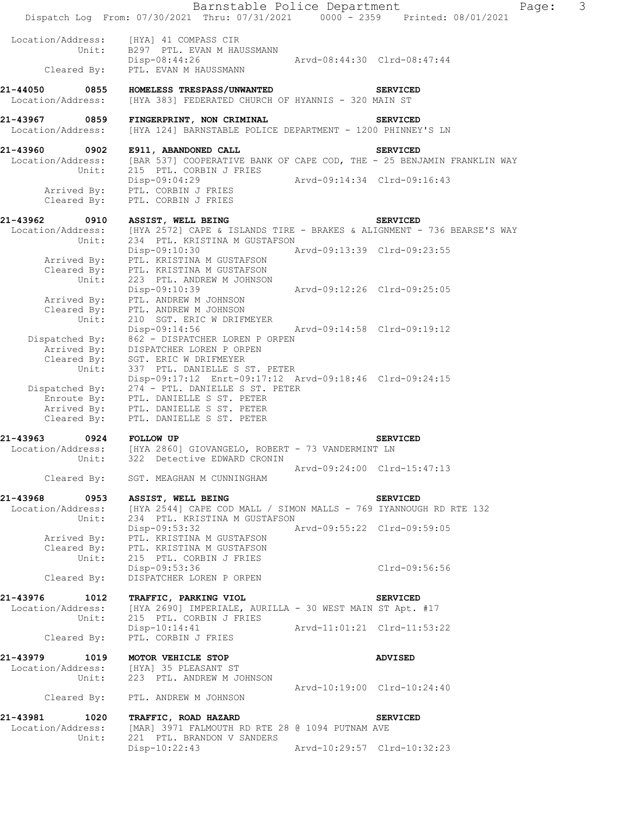|                                                | Barnstable Police Department<br>Dispatch Log From: 07/30/2021 Thru: 07/31/2021 0000 - 2359 Printed: 08/01/2021                                                  |                             | Page:                       | 3 |
|------------------------------------------------|-----------------------------------------------------------------------------------------------------------------------------------------------------------------|-----------------------------|-----------------------------|---|
| Location/Address:<br>Unit:<br>Cleared By:      | [HYA] 41 COMPASS CIR<br>B297 PTL. EVAN M HAUSSMANN<br>Disp-08:44:26<br>PTL. EVAN M HAUSSMANN                                                                    | Arvd-08:44:30 Clrd-08:47:44 |                             |   |
| Location/Address:                              | 21-44050 0855 HOMELESS TRESPASS/UNWANTED<br>[HYA 383] FEDERATED CHURCH OF HYANNIS - 320 MAIN ST                                                                 |                             | <b>SERVICED</b>             |   |
| 21-43967 0859<br>Location/Address:             | FINGERPRINT, NON CRIMINAL<br>[HYA 124] BARNSTABLE POLICE DEPARTMENT - 1200 PHINNEY'S LN                                                                         |                             | <b>SERVICED</b>             |   |
|                                                | 21-43960 0902 E911, ABANDONED CALL<br>Location/Address: [BAR 537] COOPERATIVE BANK OF CAPE COD, THE - 25 BENJAMIN FRANKLIN WAY<br>Unit: 215 PTL. CORBIN J FRIES |                             | <b>SERVICED</b>             |   |
| Cleared By:                                    | Disp-09:04:29<br>Arrived By: PTL. CORBIN J FRIES<br>PTL. CORBIN J FRIES                                                                                         |                             | Arvd-09:14:34 Clrd-09:16:43 |   |
| 21-43962<br>0910                               | <b>ASSIST, WELL BEING</b>                                                                                                                                       |                             | <b>SERVICED</b>             |   |
| Location/Address:                              | [HYA 2572] CAPE & ISLANDS TIRE - BRAKES & ALIGNMENT - 736 BEARSE'S WAY                                                                                          |                             |                             |   |
| Unit:                                          | 234 PTL. KRISTINA M GUSTAFSON<br>Disp-09:10:30<br>Arrived By: PTL. KRISTINA M GUSTAFSON<br>Cleared By: PTL. KRISTINA M GUSTAFSON                                | Arvd-09:13:39 Clrd-09:23:55 |                             |   |
| Unit:                                          | 223 PTL. ANDREW M JOHNSON<br>Disp-09:10:39                                                                                                                      | Arvd-09:12:26 Clrd-09:25:05 |                             |   |
| Unit:                                          | Arrived By: PTL. ANDREW M JOHNSON<br>Cleared By: PTL. ANDREW M JOHNSON<br>210 SGT. ERIC W DRIFMEYER                                                             |                             |                             |   |
| Dispatched By:                                 | Disp-09:14:56<br>862 - DISPATCHER LOREN P ORPEN<br>Arrived By: DISPATCHER LOREN P ORPEN                                                                         | Arvd-09:14:58 Clrd-09:19:12 |                             |   |
| Unit:                                          | Cleared By: SGT. ERIC W DRIFMEYER<br>Unit: 337 PTL. DANIELLE S :<br>337 PTL. DANIELLE S ST. PETER<br>Disp-09:17:12 Enrt-09:17:12 Arvd-09:18:46 Clrd-09:24:15    |                             |                             |   |
| Dispatched By:                                 | 274 - PTL. DANIELLE S ST. PETER<br>Enroute By: PTL. DANIELLE S ST. PETER<br>Arrived By: PTL. DANIELLE S ST. PETER<br>Cleared By: PTL. DANIELLE S ST. PETER      |                             |                             |   |
| 21-43963 0924 FOLLOW UP                        |                                                                                                                                                                 |                             | <b>SERVICED</b>             |   |
| Unit:                                          | Location/Address: [HYA 2860] GIOVANGELO, ROBERT - 73 VANDERMINT LN<br>322 Detective EDWARD CRONIN                                                               |                             |                             |   |
|                                                | Cleared By: SGT. MEAGHAN M CUNNINGHAM                                                                                                                           |                             | Arvd-09:24:00 Clrd-15:47:13 |   |
| 21-43968<br>0953                               | ASSIST, WELL BEING                                                                                                                                              |                             | <b>SERVICED</b>             |   |
| Location/Address:<br>Unit:                     | [HYA 2544] CAPE COD MALL / SIMON MALLS - 769 IYANNOUGH RD RTE 132<br>234 PTL. KRISTINA M GUSTAFSON<br>Disp-09:53:32                                             |                             | Arvd-09:55:22 Clrd-09:59:05 |   |
| Arrived By:<br>Cleared By:<br>Unit:            | PTL. KRISTINA M GUSTAFSON<br>PTL. KRISTINA M GUSTAFSON<br>215 PTL. CORBIN J FRIES                                                                               |                             |                             |   |
| Cleared By:                                    | Disp-09:53:36<br>DISPATCHER LOREN P ORPEN                                                                                                                       |                             | Clrd-09:56:56               |   |
| 21-43976<br>1012<br>Location/Address:<br>Unit: | TRAFFIC, PARKING VIOL<br>[HYA 2690] IMPERIALE, AURILLA - 30 WEST MAIN ST Apt. #17<br>215 PTL. CORBIN J FRIES                                                    |                             | <b>SERVICED</b>             |   |
| Cleared By:                                    | Disp-10:14:41<br>PTL. CORBIN J FRIES                                                                                                                            |                             | Arvd-11:01:21 Clrd-11:53:22 |   |
| 21-43979<br>1019<br>Location/Address:<br>Unit: | MOTOR VEHICLE STOP<br>[HYA] 35 PLEASANT ST<br>223 PTL. ANDREW M JOHNSON                                                                                         |                             | <b>ADVISED</b>              |   |
| Cleared By:                                    | PTL. ANDREW M JOHNSON                                                                                                                                           |                             | Arvd-10:19:00 Clrd-10:24:40 |   |
| 21-43981<br>1020                               | TRAFFIC, ROAD HAZARD                                                                                                                                            |                             | <b>SERVICED</b>             |   |
| Location/Address:<br>Unit:                     | [MAR] 3971 FALMOUTH RD RTE 28 @ 1094 PUTNAM AVE<br>221 PTL. BRANDON V SANDERS                                                                                   |                             |                             |   |
|                                                | $Disp-10:22:43$                                                                                                                                                 |                             | Arvd-10:29:57 Clrd-10:32:23 |   |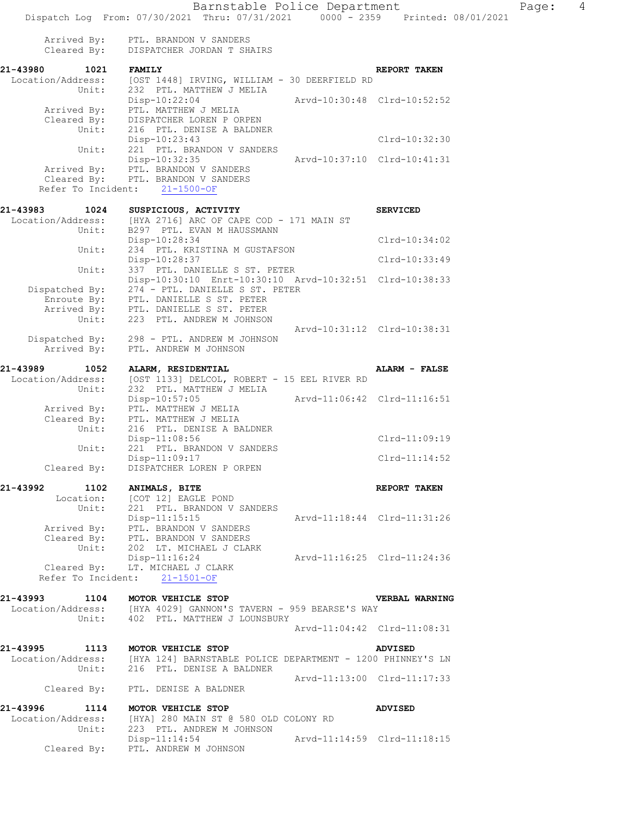| Arrived By:<br>Cleared By: | PTL. BRANDON V SANDERS<br>DISPATCHER JORDAN T SHAIRS                                                 |                      |
|----------------------------|------------------------------------------------------------------------------------------------------|----------------------|
| 21-43980<br>1021           | <b>FAMILY</b>                                                                                        | REPORT TAKEN         |
| Location/Address:          | [OST 1448] IRVING, WILLIAM - 30 DEERFIELD RD                                                         |                      |
| Unit:                      | 232 PTL. MATTHEW J MELIA                                                                             |                      |
|                            | Disp-10:22:04<br>Arvd-10:30:48 Clrd-10:52:52                                                         |                      |
| Arrived By:                | PTL. MATTHEW J MELIA                                                                                 |                      |
| Cleared By:                | DISPATCHER LOREN P ORPEN                                                                             |                      |
| Unit:                      | 216 PTL. DENISE A BALDNER                                                                            |                      |
|                            | Disp-10:23:43                                                                                        | Clrd-10:32:30        |
| Unit:                      | 221 PTL. BRANDON V SANDERS                                                                           |                      |
|                            | Disp-10:32:35<br>Arvd-10:37:10 Clrd-10:41:31                                                         |                      |
|                            | Arrived By: PTL. BRANDON V SANDERS                                                                   |                      |
|                            | Cleared By: PTL. BRANDON V SANDERS                                                                   |                      |
|                            | Refer To Incident: 21-1500-OF                                                                        |                      |
| 21-43983<br>1024           | SUSPICIOUS, ACTIVITY                                                                                 | <b>SERVICED</b>      |
| Location/Address:          | [HYA 2716] ARC OF CAPE COD - 171 MAIN ST                                                             |                      |
| Unit:                      | B297 PTL. EVAN M HAUSSMANN                                                                           |                      |
|                            | Disp-10:28:34                                                                                        | $Clrd-10:34:02$      |
| Unit:                      | 234 PTL. KRISTINA M GUSTAFSON                                                                        |                      |
|                            | Disp-10:28:37                                                                                        | Clrd-10:33:49        |
| Unit:                      | 337 PTL. DANIELLE S ST. PETER                                                                        |                      |
|                            | Disp-10:30:10 Enrt-10:30:10 Arvd-10:32:51 Clrd-10:38:33                                              |                      |
| Dispatched By:             | 274 - PTL. DANIELLE S ST. PETER                                                                      |                      |
| Enroute By:                | PTL. DANIELLE S ST. PETER                                                                            |                      |
|                            | Arrived By: PTL. DANIELLE S ST. PETER                                                                |                      |
|                            |                                                                                                      |                      |
| Unit:                      | 223 PTL. ANDREW M JOHNSON                                                                            |                      |
|                            | Arvd-10:31:12 Clrd-10:38:31                                                                          |                      |
|                            | Dispatched By: 298 - PTL. ANDREW M JOHNSON                                                           |                      |
| Arrived By:                | PTL. ANDREW M JOHNSON                                                                                |                      |
| 21-43989<br>1052           | ALARM, RESIDENTIAL                                                                                   | <b>ALARM - FALSE</b> |
| Location/Address:          | [OST 1133] DELCOL, ROBERT - 15 EEL RIVER RD                                                          |                      |
| Unit:                      | 232 PTL. MATTHEW J MELIA                                                                             |                      |
|                            | $Disp-10:57:05$<br>Arvd-11:06:42 Clrd-11:16:51                                                       |                      |
| Arrived By:                | PTL. MATTHEW J MELIA                                                                                 |                      |
| Cleared By:                | PTL. MATTHEW J MELIA                                                                                 |                      |
| Unit:                      | 216 PTL. DENISE A BALDNER                                                                            |                      |
|                            | $Disp-11:08:56$                                                                                      | Clrd-11:09:19        |
| Unit:                      | 221 PTL. BRANDON V SANDERS                                                                           |                      |
|                            | Disp-11:09:17                                                                                        | $Clrd-11:14:52$      |
| Cleared By:                | DISPATCHER LOREN P ORPEN                                                                             |                      |
|                            |                                                                                                      |                      |
| 21-43992<br>1102           | ANIMALS, BITE                                                                                        | REPORT TAKEN         |
| Location:                  | [COT 12] EAGLE POND                                                                                  |                      |
| Unit:                      | 221 PTL. BRANDON V SANDERS                                                                           |                      |
|                            | $Disp-11:15:15$<br>Arvd-11:18:44 Clrd-11:31:26                                                       |                      |
| Arrived By:                | PTL. BRANDON V SANDERS                                                                               |                      |
|                            | Cleared By: PTL. BRANDON V SANDERS                                                                   |                      |
| Unit:                      | 202 LT. MICHAEL J CLARK                                                                              |                      |
|                            | Arvd-11:16:25 Clrd-11:24:36<br>Disp-11:16:24                                                         |                      |
|                            | Cleared By: LT. MICHAEL J CLARK                                                                      |                      |
|                            | Refer To Incident: 21-1501-OF                                                                        |                      |
|                            |                                                                                                      |                      |
| 21-43993                   | 1104 MOTOR VEHICLE STOP                                                                              | VERBAL WARNING       |
|                            | Location/Address: [HYA 4029] GANNON'S TAVERN - 959 BEARSE'S WAY                                      |                      |
|                            | Unit: 402 PTL. MATTHEW J LOUNSBURY                                                                   |                      |
|                            | Arvd-11:04:42 Clrd-11:08:31                                                                          |                      |
|                            |                                                                                                      |                      |
| 21-43995                   | 1113 MOTOR VEHICLE STOP<br><b>ADVISED</b>                                                            |                      |
| Location/Address:          |                                                                                                      |                      |
|                            | dress: [HYA 124] BARNSTABLE POLICE DEPARTMENT - 1200 PHINNEY'S LN<br>Unit: 216 PTL. DENISE A BALDNER |                      |
|                            | Arvd-11:13:00 Clrd-11:17:33                                                                          |                      |
|                            | Cleared By: PTL. DENISE A BALDNER                                                                    |                      |
|                            |                                                                                                      |                      |
| 21-43996<br>1114           | MOTOR VEHICLE STOP<br><b>ADVISED</b>                                                                 |                      |
|                            |                                                                                                      |                      |
| Location/Address:          | [HYA] 280 MAIN ST @ 580 OLD COLONY RD                                                                |                      |
| Unit:                      | 223 PTL. ANDREW M JOHNSON                                                                            |                      |
|                            | $Disp-11:14:54$<br>Arvd-11:14:59 Clrd-11:18:15                                                       |                      |
| Cleared By:                | PTL. ANDREW M JOHNSON                                                                                |                      |
|                            |                                                                                                      |                      |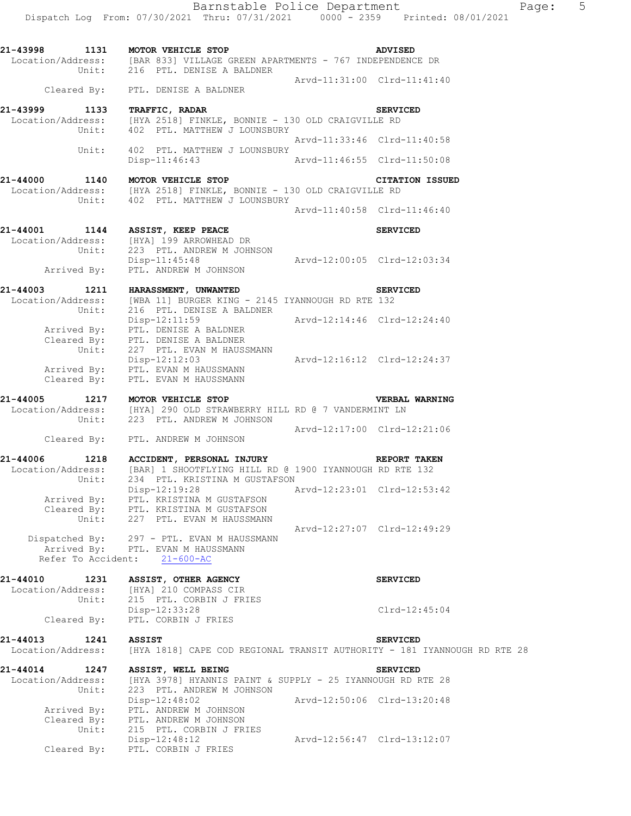Barnstable Police Department Fage: 5 Dispatch Log From: 07/30/2021 Thru: 07/31/2021 0000 - 2359 Printed: 08/01/2021 **21-43998 1131 MOTOR VEHICLE STOP ADVISED** 

Location/Address: [BAR 833] VILLAGE GREEN APARTMENTS - 767 INDEPENDENCE DR Unit: 216 PTL. DENISE A BALDNER Arvd-11:31:00 Clrd-11:41:40 Cleared By: PTL. DENISE A BALDNER **21-43999 1133 TRAFFIC, RADAR SERVICED**  Location/Address: [HYA 2518] FINKLE, BONNIE - 130 OLD CRAIGVILLE RD Unit: 402 PTL. MATTHEW J LOUNSBURY Arvd-11:33:46 Clrd-11:40:58 Unit: 402 PTL. MATTHEW J LOUNSBURY Disp-11:46:43 Arvd-11:46:55 Clrd-11:50:08

**21-44000 1140 MOTOR VEHICLE STOP CITATION ISSUED**  Location/Address: [HYA 2518] FINKLE, BONNIE - 130 OLD CRAIGVILLE RD Unit: 402 PTL. MATTHEW J LOUNSBURY Arvd-11:40:58 Clrd-11:46:40

# **21-44001 1144 ASSIST, KEEP PEACE SERVICED**  Location/Address: [HYA] 199 ARROWHEAD DR Unit: 223 PTL. ANDREW M JOHNSON Disp-11:45:48 Arvd-12:00:05 Clrd-12:03:34 Arrived By: PTL. ANDREW M JOHNSON

**21-44003 1211 HARASSMENT, UNWANTED SERVICED**  Location/Address: [WBA 11] BURGER KING - 2145 IYANNOUGH RD RTE 132 Unit: 216 PTL. DENISE A BALDNER Disp-12:11:59 Arvd-12:14:46 Clrd-12:24:40 Arrived By: PTL. DENISE A BALDNER Cleared By: PTL. DENISE A BALDNER Unit: 227 PTL. EVAN M HAUSSMANN Arvd-12:16:12 Clrd-12:24:37 Arrived By: PTL. EVAN M HAUSSMANN Cleared By: PTL. EVAN M HAUSSMANN

## **21-44005 1217 MOTOR VEHICLE STOP VERBAL WARNING**  Location/Address: [HYA] 290 OLD STRAWBERRY HILL RD @ 7 VANDERMINT LN Unit: 223 PTL. ANDREW M JOHNSON

 Arvd-12:17:00 Clrd-12:21:06 Cleared By: PTL. ANDREW M JOHNSON

### **21-44006 1218 ACCIDENT, PERSONAL INJURY REPORT TAKEN**  Location/Address: [BAR] 1 SHOOTFLYING HILL RD @ 1900 IYANNOUGH RD RTE 132 Unit: 234 PTL. KRISTINA M GUSTAFSON Disp-12:19:28 Arvd-12:23:01 Clrd-12:53:42 Arrived By: PTL. KRISTINA M GUSTAFSON Cleared By: PTL. KRISTINA M GUSTAFSON Unit: 227 PTL. EVAN M HAUSSMANN Arvd-12:27:07 Clrd-12:49:29

 Dispatched By: 297 - PTL. EVAN M HAUSSMANN Arrived By: PTL. EVAN M HAUSSMANN Refer To Accident: 21-600-AC

### **21-44010 1231 ASSIST, OTHER AGENCY SERVICED**  Location/Address: [HYA] 210 COMPASS CIR

# Unit: 215 PTL. CORBIN J FRIES Cleared By: PTL. CORBIN J FRIES

# Disp-12:33:28 Clrd-12:45:04

# **21-44013 1241 ASSIST SERVICED**

Location/Address: [HYA 1818] CAPE COD REGIONAL TRANSIT AUTHORITY - 181 IYANNOUGH RD RTE 28

**21-44014 1247 ASSIST, WELL BEING SERVICED** 

 Location/Address: [HYA 3978] HYANNIS PAINT & SUPPLY - 25 IYANNOUGH RD RTE 28 Unit: 223 PTL. ANDREW M JOHNSON Disp-12:48:02 Arvd-12:50:06 Clrd-13:20:48 Arrived By: PTL. ANDREW M JOHNSON Cleared By: PTL. ANDREW M JOHNSON Unit: 215 PTL. CORBIN J FRIES Disp-12:48:12 Arvd-12:56:47 Clrd-13:12:07 Cleared By: PTL. CORBIN J FRIES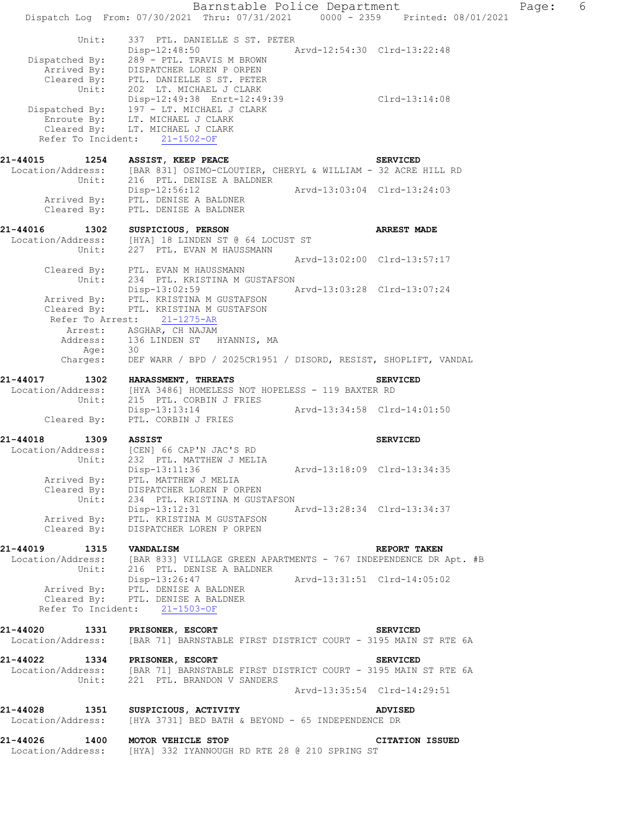Barnstable Police Department Fage: 6 Dispatch Log From: 07/30/2021 Thru: 07/31/2021 0000 - 2359 Printed: 08/01/2021 Unit: 337 PTL. DANIELLE S ST. PETER<br>Disp-12:48:50 Arvd-12:54:30 Clrd-13:22:48 Disp-12:48:50 Arvd-12:54:30 Clrd-13:22:48 Dispatched By: 289 - PTL. TRAVIS M BROWN Arrived By: DISPATCHER LOREN P ORPEN Cleared By: PTL. DANIELLE S ST. PETER Unit: 202 LT. MICHAEL J CLARK Disp-12:49:38 Enrt-12:49:39 Clrd-13:14:08 Dispatched By: 197 - LT. MICHAEL J CLARK Enroute By: LT. MICHAEL J CLARK Cleared By: LT. MICHAEL J CLARK Refer To Incident: 21-1502-OF **21-44015 1254 ASSIST, KEEP PEACE SERVICED**  Location/Address: [BAR 831] OSIMO-CLOUTIER, CHERYL & WILLIAM - 32 ACRE HILL RD<br>Unit: 216 PTL. DENISE A BALDNER 216 PTL. DENISE A BALDNER Disp-12:56:12 Arvd-13:03:04 Clrd-13:24:03 Arrived By: PTL. DENISE A BALDNER Cleared By: PTL. DENISE A BALDNER **21-44016 1302 SUSPICIOUS, PERSON ARREST MADE**  Location/Address: [HYA] 18 LINDEN ST @ 64 LOCUST ST Unit: 227 PTL. EVAN M HAUSSMANN Arvd-13:02:00 Clrd-13:57:17 Cleared By: PTL. EVAN M HAUSSMANN Unit: 234 PTL. KRISTINA M GUSTAFSON<br>Disp-13:02:59 A Disp-13:02:59 Arvd-13:03:28 Clrd-13:07:24 Arrived By: PTL. KRISTINA M GUSTAFSON Cleared By: PTL. KRISTINA M GUSTAFSON Refer To Arrest: 21-1275-AR Arrest: ASGHAR, CH NAJAM Address: 136 LINDEN ST HYANNIS, MA<br>Age: 30 Age: Charges: DEF WARR / BPD / 2025CR1951 / DISORD, RESIST, SHOPLIFT, VANDAL **21-44017 1302 HARASSMENT, THREATS SERVICED**<br>Location/Address: [HYA 3486] HOMELESS NOT HOPELESS - 119 BAXTER RD [HYA 3486] HOMELESS NOT HOPELESS - 119 BAXTER RD Unit: 215 PTL. CORBIN J FRIES Disp-13:13:14 Arvd-13:34:58 Clrd-14:01:50 Cleared By: PTL. CORBIN J FRIES **21-44018 1309 ASSIST SERVICED**  Location/Address: [CEN] 66 CAP'N JAC'S RD Unit: 232 PTL. MATTHEW J MELIA Disp-13:11:36 Arvd-13:18:09 Clrd-13:34:35 Arrived By: PTL. MATTHEW J MELIA Cleared By: DISPATCHER LOREN P ORPEN Unit: 234 PTL. KRISTINA M GUSTAFSON Disp-13:12:31 Arvd-13:28:34 Clrd-13:34:37 Arrived By: PTL. KRISTINA M GUSTAFSON Cleared By: DISPATCHER LOREN P ORPEN **21-44019 1315 VANDALISM REPORT TAKEN**  [BAR 833] VILLAGE GREEN APARTMENTS - 767 INDEPENDENCE DR Apt. #B Unit: 216 PTL. DENISE A BALDNER Disp-13:26:47 Arvd-13:31:51 Clrd-14:05:02 Arrived By: PTL. DENISE A BALDNER Cleared By: PTL. DENISE A BALDNER Refer To Incident: 21-1503-OF **21-44020 1331 PRISONER, ESCORT SERVICED**  Location/Address: [BAR 71] BARNSTABLE FIRST DISTRICT COURT - 3195 MAIN ST RTE 6A **21-44022 1334 PRISONER, ESCORT SERVICED**  Location/Address: [BAR 71] BARNSTABLE FIRST DISTRICT COURT - 3195 MAIN ST RTE 6A Unit: 221 PTL. BRANDON V SANDERS Arvd-13:35:54 Clrd-14:29:51 **21-44028 1351 SUSPICIOUS, ACTIVITY ADVISED**  Location/Address: [HYA 3731] BED BATH & BEYOND - 65 INDEPENDENCE DR **21-44026 1400 MOTOR VEHICLE STOP CITATION ISSUED**  Location/Address: [HYA] 332 IYANNOUGH RD RTE 28 @ 210 SPRING ST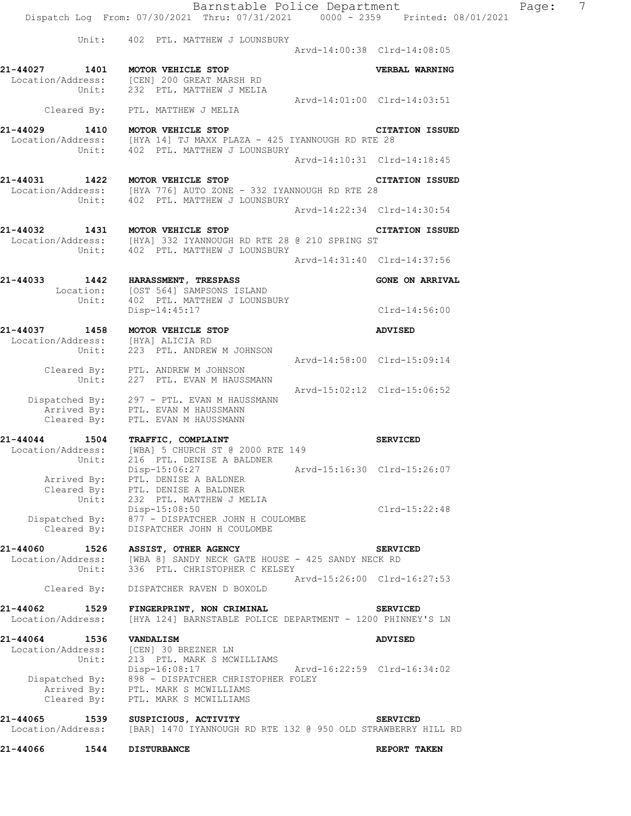Barnstable Police Department Page: 7 Dispatch Log From: 07/30/2021 Thru: 07/31/2021 0000 - 2359 Printed: 08/01/2021 Unit: 402 PTL. MATTHEW J LOUNSBURY Arvd-14:00:38 Clrd-14:08:05 **21-44027 1401 MOTOR VEHICLE STOP VERBAL WARNING**  Location/Address: [CEN] 200 GREAT MARSH RD Unit: 232 PTL. MATTHEW J MELIA Arvd-14:01:00 Clrd-14:03:51 Cleared By: PTL. MATTHEW J MELIA **21-44029 1410 MOTOR VEHICLE STOP CITATION ISSUED**  Location/Address: [HYA 14] TJ MAXX PLAZA - 425 IYANNOUGH RD RTE 28 Unit: 402 PTL. MATTHEW J LOUNSBURY Arvd-14:10:31 Clrd-14:18:45 **21-44031 1422 MOTOR VEHICLE STOP CITATION ISSUED**  Location/Address: [HYA 776] AUTO ZONE - 332 IYANNOUGH RD RTE 28 Unit: 402 PTL. MATTHEW J LOUNSBURY Arvd-14:22:34 Clrd-14:30:54 **21-44032 1431 MOTOR VEHICLE STOP CITATION ISSUED**  Location/Address: [HYA] 332 IYANNOUGH RD RTE 28 @ 210 SPRING ST Unit: 402 PTL. MATTHEW J LOUNSBURY Arvd-14:31:40 Clrd-14:37:56 **21-44033 1442 HARASSMENT, TRESPASS GONE ON ARRIVAL**  Location: [OST 564] SAMPSONS ISLAND<br>Unit: 402 PTL. MATTHEW J LOUNSB Unit: 402 PTL. MATTHEW J LOUNSBURY Disp-14:45:17 Clrd-14:56:00 **21-44037 1458 MOTOR VEHICLE STOP ADVISED**  Location/Address: [HYA] ALICIA RD Unit: 223 PTL. ANDREW M JOHNSON Arvd-14:58:00 Clrd-15:09:14 Cleared By: PTL. ANDREW M JOHNSON Unit: 227 PTL. EVAN M HAUSSMANN Arvd-15:02:12 Clrd-15:06:52 Dispatched By: 297 - PTL. EVAN M HAUSSMANN Arrived By: PTL. EVAN M HAUSSMANN Cleared By: PTL. EVAN M HAUSSMANN **21-44044 1504 TRAFFIC, COMPLAINT SERVICED**  Location/Address: [WBA] 5 CHURCH ST @ 2000 RTE 149 Unit: 216 PTL. DENISE A BALDNER Disp-15:06:27 Arvd-15:16:30 Clrd-15:26:07 Arrived By: PTL. DENISE A BALDNER Cleared By: PTL. DENISE A BALDNER Unit: 232 PTL. MATTHEW J MELIA Disp-15:08:50 Clrd-15:22:48 Dispatched By: 877 - DISPATCHER JOHN H COULOMBE Cleared By: DISPATCHER JOHN H COULOMBE **21-44060 1526 ASSIST, OTHER AGENCY SERVICED**  Location/Address: [WBA 8] SANDY NECK GATE HOUSE - 425 SANDY NECK RD Unit: 336 PTL. CHRISTOPHER C KELSEY Arvd-15:26:00 Clrd-16:27:53 Cleared By: DISPATCHER RAVEN D BOXOLD **21-44062 1529 FINGERPRINT, NON CRIMINAL SERVICED**<br>Location/Address: [HYA 124] BARNSTABLE POLICE DEPARTMENT - 1200 PHINNEY [HYA 124] BARNSTABLE POLICE DEPARTMENT - 1200 PHINNEY'S LN **21-44064 1536 VANDALISM ADVISED**  Location/Address: [CEN] 30 BREZNER LN Unit: 213 PTL. MARK S MCWILLIAMS Disp-16:08:17 Arvd-16:22:59 Clrd-16:34:02 Dispatched By: 898 - DISPATCHER CHRISTOPHER FOLEY Arrived By: PTL. MARK S MCWILLIAMS Cleared By: PTL. MARK S MCWILLIAMS

**21-44065 1539 SUSPICIOUS, ACTIVITY SERVICED**  Location/Address: [BAR] 1470 IYANNOUGH RD RTE 132 @ 950 OLD STRAWBERRY HILL RD

**21-44066 1544 DISTURBANCE REPORT TAKEN**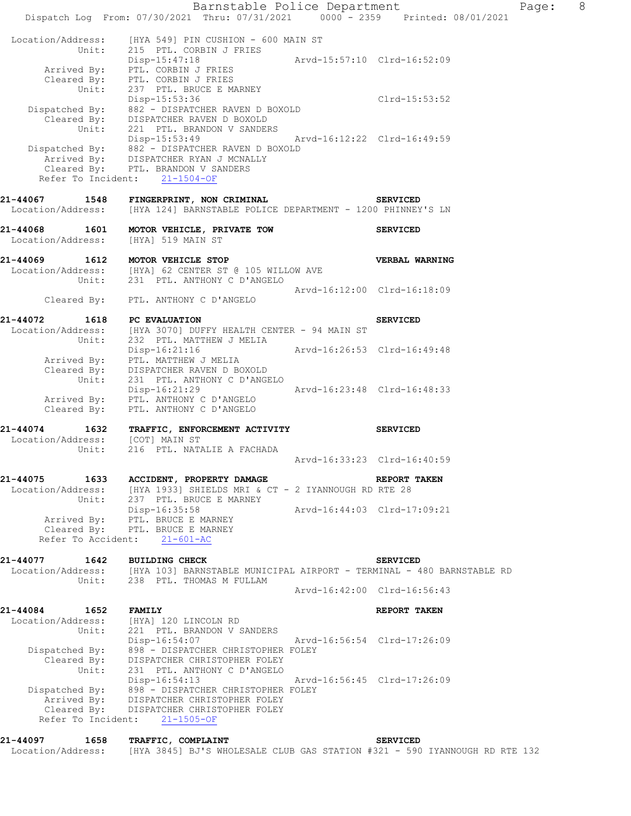Barnstable Police Department Fage: 8 Dispatch Log From: 07/30/2021 Thru: 07/31/2021 0000 - 2359 Printed: 08/01/2021 Location/Address: [HYA 549] PIN CUSHION - 600 MAIN ST Unit: 215 PTL. CORBIN J FRIES Disp-15:47:18 Arvd-15:57:10 Clrd-16:52:09 Arrived By: PTL. CORBIN J FRIES Cleared By: PTL. CORBIN J FRIES Unit: 237 PTL. BRUCE E MARNEY Disp-15:53:36 Clrd-15:53:52 Dispatched By: 882 - DISPATCHER RAVEN D BOXOLD Cleared By: DISPATCHER RAVEN D BOXOLD Unit: 221 PTL. BRANDON V SANDERS Disp-15:53:49 Arvd-16:12:22 Clrd-16:49:59 Dispatched By: 882 - DISPATCHER RAVEN D BOXOLD Arrived By: DISPATCHER RYAN J MCNALLY Cleared By: PTL. BRANDON V SANDERS Refer To Incident: 21-1504-OF **21-44067 1548 FINGERPRINT, NON CRIMINAL SERVICED**  Location/Address: [HYA 124] BARNSTABLE POLICE DEPARTMENT - 1200 PHINNEY'S LN **21-44068 1601 MOTOR VEHICLE, PRIVATE TOW SERVICED**  Location/Address: [HYA] 519 MAIN ST **21-44069 1612 MOTOR VEHICLE STOP VERBAL WARNING**  Location/Address: [HYA] 62 CENTER ST @ 105 WILLOW AVE Unit: 231 PTL. ANTHONY C D'ANGELO Arvd-16:12:00 Clrd-16:18:09 Cleared By: PTL. ANTHONY C D'ANGELO **21-44072 1618 PC EVALUATION** SERVICED SERVICED<br>
Location/Address: [HYA 3070] DUFFY HEALTH CENTER - 94 MAIN ST Location/Address: [HYA 3070] DUFFY HEALTH CENTER - 94 MAIN ST Unit: 232 PTL. MATTHEW J MELIA Disp-16:21:16 Arvd-16:26:53 Clrd-16:49:48 Arrived By: PTL. MATTHEW J MELIA Cleared By: DISPATCHER RAVEN D BOXOLD Unit: 231 PTL. ANTHONY C D'ANGELO Disp-16:21:29 Arvd-16:23:48 Clrd-16:48:33 Arrived By: PTL. ANTHONY C D'ANGELO Cleared By: PTL. ANTHONY C D'ANGELO **21-44074 1632 TRAFFIC, ENFORCEMENT ACTIVITY SERVICED**  Location/Address: [COT] MAIN ST Unit: 216 PTL. NATALIE A FACHADA Arvd-16:33:23 Clrd-16:40:59 **21-44075 1633 ACCIDENT, PROPERTY DAMAGE REPORT TAKEN**  Location/Address: [HYA 1933] SHIELDS MRI & CT - 2 IYANNOUGH RD RTE 28 Unit: 237 PTL. BRUCE E MARNEY Disp-16:35:58 Arvd-16:44:03 Clrd-17:09:21 Arrived By: PTL. BRUCE E MARNEY Cleared By: PTL. BRUCE E MARNEY Refer To Accident: 21-601-AC **21-44077 1642 BUILDING CHECK SERVICED**  Location/Address: [HYA 103] BARNSTABLE MUNICIPAL AIRPORT - TERMINAL - 480 BARNSTABLE RD Unit: 238 PTL. THOMAS M FULLAM Arvd-16:42:00 Clrd-16:56:43 **21-44084 1652 FAMILY REPORT TAKEN**  Location/Address: [HYA] 120 LINCOLN RD<br>Unit: 221 PTL. BRANDON V S.<br>Disp-16:54:07 Unit: 221 PTL. BRANDON V SANDERS Disp-16:54:07 Arvd-16:56:54 Clrd-17:26:09 Dispatched By: 898 - DISPATCHER CHRISTOPHER FOLEY Cleared By: DISPATCHER CHRISTOPHER FOLEY Unit: 231 PTL. ANTHONY C D'ANGELO Disp-16:54:13 Arvd-16:56:45 Clrd-17:26:09 Dispatched By: 898 - DISPATCHER CHRISTOPHER FOLEY Arrived By: DISPATCHER CHRISTOPHER FOLEY Cleared By: DISPATCHER CHRISTOPHER FOLEY Refer To Incident: 21-1505-OF **21-44097 1658 TRAFFIC, COMPLAINT SERVICED**  Location/Address: [HYA 3845] BJ'S WHOLESALE CLUB GAS STATION #321 - 590 IYANNOUGH RD RTE 132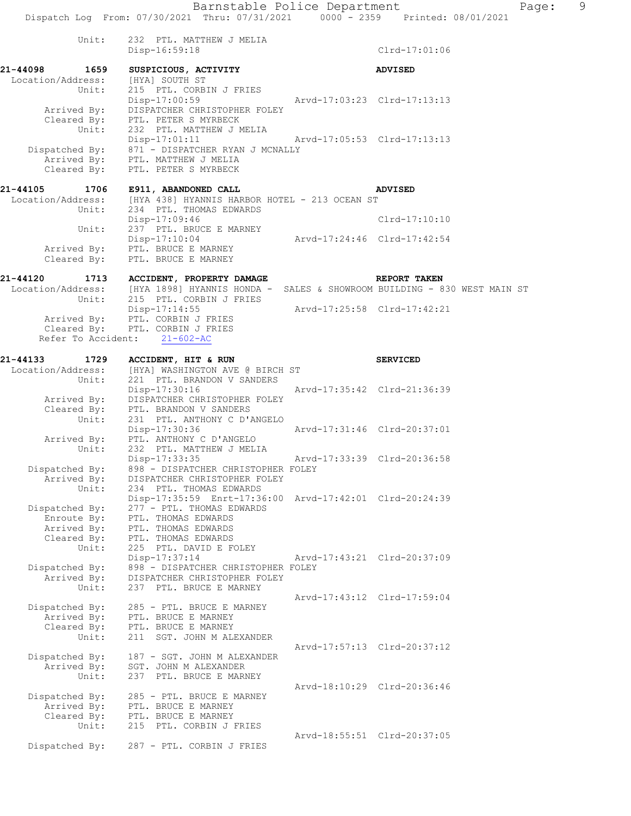Barnstable Police Department Page: 9 Dispatch Log From: 07/30/2021 Thru: 07/31/2021 0000 - 2359 Printed: 08/01/2021 Unit: 232 PTL. MATTHEW J MELIA Disp-16:59:18 Clrd-17:01:06 **21-44098 1659 SUSPICIOUS, ACTIVITY ADVISED**  Location/Address: [HYA] SOUTH ST Unit: 215 PTL. CORBIN J FRIES Disp-17:00:59 Arvd-17:03:23 Clrd-17:13:13 Arrived By: DISPATCHER CHRISTOPHER FOLEY Cleared By: PTL. PETER S MYRBECK Unit: 232 PTL. MATTHEW J MELIA Disp-17:01:11 Arvd-17:05:53 Clrd-17:13:13 Dispatched By: 871 - DISPATCHER RYAN J MCNALLY Arrived By: PTL. MATTHEW J MELIA Cleared By: PTL. PETER S MYRBECK **21-44105 1706 E911, ABANDONED CALL ADVISED**  [HYA 438] HYANNIS HARBOR HOTEL - 213 OCEAN ST Unit: 234 PTL. THOMAS EDWARDS Disp-17:09:46 Clrd-17:10:10<br>Unit: 237 PTL. BRUCE E MARNEY 237 PTL. BRUCE E MARNEY Disp-17:10:04 Arvd-17:24:46 Clrd-17:42:54 Arrived By: PTL. BRUCE E MARNEY Cleared By: PTL. BRUCE E MARNEY **21-44120 1713 ACCIDENT, PROPERTY DAMAGE REPORT TAKEN**  Location/Address: [HYA 1898] HYANNIS HONDA - SALES & SHOWROOM BUILDING - 830 WEST MAIN ST<br>Unit: 215 PTL. CORBIN J FRIES 215 PTL. CORBIN J FRIES Disp-17:14:55 Arvd-17:25:58 Clrd-17:42:21 Arrived By: PTL. CORBIN J FRIES Cleared By: PTL. CORBIN J FRIES Refer To Accident: 21-602-AC **21-44133 1729 ACCIDENT, HIT & RUN SERVICED**  Location/Address: [HYA] WASHINGTON AVE @ BIRCH ST Unit: 221 PTL. BRANDON V SANDERS Disp-17:30:16 Arvd-17:35:42 Clrd-21:36:39 Arrived By: DISPATCHER CHRISTOPHER FOLEY Cleared By: PTL. BRANDON V SANDERS<br>Unit: 231 PTL. ANTHONY C D'AN 231 PTL. ANTHONY C D'ANGELO<br>Disp-17:30:36 Disp-17:30:36 Arvd-17:31:46 Clrd-20:37:01 Arrived By: PTL. ANTHONY C D'ANGELO Unit: 232 PTL. MATTHEW J MELIA Disp-17:33:35 Arvd-17:33:39 Clrd-20:36:58 Dispatched By: 898 - DISPATCHER CHRISTOPHER FOLEY Arrived By: DISPATCHER CHRISTOPHER FOLEY Unit: 234 PTL. THOMAS EDWARDS Disp-17:35:59 Enrt-17:36:00 Arvd-17:42:01 Clrd-20:24:39 Dispatched By: 277 - PTL. THOMAS EDWARDS Enroute By: PTL. THOMAS EDWARDS Arrived By: PTL. THOMAS EDWARDS Cleared By: PTL. THOMAS EDWARDS Unit: 225 PTL. DAVID E FOLEY Disp-17:37:14 Arvd-17:43:21 Clrd-20:37:09 Dispatched By: 898 - DISPATCHER CHRISTOPHER FOLEY Arrived By: DISPATCHER CHRISTOPHER FOLEY Unit: 237 PTL. BRUCE E MARNEY Arvd-17:43:12 Clrd-17:59:04 Dispatched By: 285 - PTL. BRUCE E MARNEY Arrived By: PTL. BRUCE E MARNEY Cleared By: PTL. BRUCE E MARNEY Unit: 211 SGT. JOHN M ALEXANDER Arvd-17:57:13 Clrd-20:37:12 Dispatched By: 187 - SGT. JOHN M ALEXANDER Arrived By: SGT. JOHN M ALEXANDER Unit: 237 PTL. BRUCE E MARNEY Arvd-18:10:29 Clrd-20:36:46<br>Dispatched By: 285 - PTL. BRUCE E MARNEY Dispatched By: 285 - PTL. BRUCE E MARNEY Arrived By: PTL. BRUCE E MARNEY Cleared By: PTL. BRUCE E MARNEY Unit: 215 PTL. CORBIN J FRIES Arvd-18:55:51 Clrd-20:37:05 Dispatched By: 287 - PTL. CORBIN J FRIES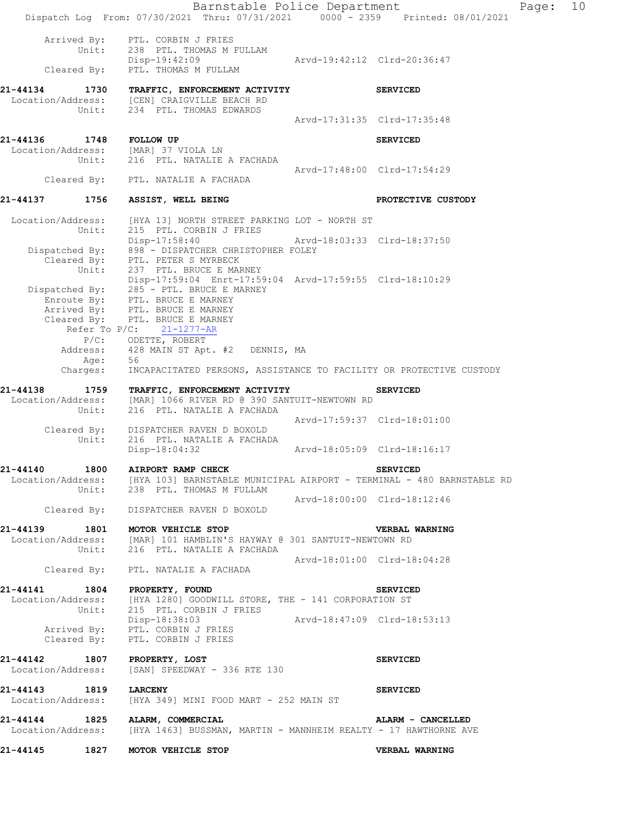|                                            |                                     | Barnstable Police Department<br>Dispatch Log From: 07/30/2021 Thru: 07/31/2021 0000 - 2359 Printed: 08/01/2021                                                                                                                   |                             |                       | Page: | 10 |
|--------------------------------------------|-------------------------------------|----------------------------------------------------------------------------------------------------------------------------------------------------------------------------------------------------------------------------------|-----------------------------|-----------------------|-------|----|
|                                            | Arrived By:<br>Unit:<br>Cleared By: | PTL. CORBIN J FRIES<br>238 PTL. THOMAS M FULLAM<br>Disp-19:42:09<br>PTL. THOMAS M FULLAM                                                                                                                                         | Arvd-19:42:12 Clrd-20:36:47 |                       |       |    |
| 21-44134 1730                              |                                     | TRAFFIC, ENFORCEMENT ACTIVITY<br>Location/Address: [CEN] CRAIGVILLE BEACH RD<br>Unit: 234 PTL. THOMAS EDWARDS                                                                                                                    |                             | <b>SERVICED</b>       |       |    |
|                                            |                                     |                                                                                                                                                                                                                                  | Arvd-17:31:35 Clrd-17:35:48 |                       |       |    |
| 21-44136 1748 FOLLOW UP                    |                                     | Location/Address: [MAR] 37 VIOLA LN<br>Unit: 216 PTL. NATALIE A FACHADA                                                                                                                                                          |                             | <b>SERVICED</b>       |       |    |
|                                            |                                     | Cleared By: PTL. NATALIE A FACHADA                                                                                                                                                                                               | Arvd-17:48:00 Clrd-17:54:29 |                       |       |    |
| 21-44137 1756                              |                                     | ASSIST, WELL BEING                                                                                                                                                                                                               |                             | PROTECTIVE CUSTODY    |       |    |
| Location/Address:                          | Unit:                               | [HYA 13] NORTH STREET PARKING LOT - NORTH ST<br>215 PTL. CORBIN J FRIES<br>Disp-17:58:40                                                                                                                                         | Arvd-18:03:33 Clrd-18:37:50 |                       |       |    |
|                                            |                                     | Dispatched By: 898 - DISPATCHER CHRISTOPHER FOLEY<br>Cleared By: PTL. PETER S MYRBECK<br>Unit: 237 PTL. BRUCE E MAR<br>237 PTL. BRUCE E MARNEY                                                                                   |                             |                       |       |    |
|                                            | Refer To $P/C$ :                    | Disp-17:59:04 Enrt-17:59:04 Arvd-17:59:55 Clrd-18:10:29<br>Dispatched By: 285 - PTL. BRUCE E MARNEY<br>Enroute By: PTL. BRUCE E MARNEY<br>Arrived By: PTL. BRUCE E MARNEY<br>Cleared By: PTL. BRUCE E MARNEY<br>$21 - 1277 - AR$ |                             |                       |       |    |
|                                            | Age:                                | P/C: ODETTE, ROBERT<br>Address: 428 MAIN ST Apt. #2 DENNIS, MA<br>56                                                                                                                                                             |                             |                       |       |    |
|                                            | Charges:                            | INCAPACITATED PERSONS, ASSISTANCE TO FACILITY OR PROTECTIVE CUSTODY                                                                                                                                                              |                             |                       |       |    |
| 21-44138<br>Location/Address:              | Unit:                               | 1759 TRAFFIC, ENFORCEMENT ACTIVITY<br>[MAR] 1066 RIVER RD @ 390 SANTUIT-NEWTOWN RD<br>216 PTL. NATALIE A FACHADA                                                                                                                 |                             | <b>SERVICED</b>       |       |    |
|                                            | Cleared By:<br>Unit:                | DISPATCHER RAVEN D BOXOLD<br>216 PTL. NATALIE A FACHADA                                                                                                                                                                          | Arvd-17:59:37 Clrd-18:01:00 |                       |       |    |
|                                            |                                     | Disp-18:04:32                                                                                                                                                                                                                    | Arvd-18:05:09 Clrd-18:16:17 |                       |       |    |
|                                            |                                     | 21-44140 1800 AIRPORT RAMP CHECK<br>Location/Address: [HYA 103] BARNSTABLE MUNICIPAL AIRPORT - TERMINAL - 480 BARNSTABLE RD<br>Unit: 238 PTL. THOMAS M FULLAM                                                                    |                             | <b>SERVICED</b>       |       |    |
|                                            |                                     | Cleared By: DISPATCHER RAVEN D BOXOLD                                                                                                                                                                                            | Arvd-18:00:00 Clrd-18:12:46 |                       |       |    |
|                                            |                                     | 21-44139 1801 MOTOR VEHICLE STOP<br>Location/Address: [MAR] 101 HAMBLIN'S HAYWAY @ 301 SANTUIT-NEWTOWN RD<br>Unit: 216 PTL. NATALIE A FACHADA                                                                                    |                             | <b>VERBAL WARNING</b> |       |    |
|                                            |                                     | Cleared By: PTL. NATALIE A FACHADA                                                                                                                                                                                               | Arvd-18:01:00 Clrd-18:04:28 |                       |       |    |
|                                            |                                     | 21-44141   1804   PROPERTY, FOUND                                                                                                                                                                                                |                             | <b>SERVICED</b>       |       |    |
|                                            |                                     | Location/Address: [HYA 1280] GOODWILL STORE, THE - 141 CORPORATION ST<br>Unit: 215 PTL. CORBIN J FRIES                                                                                                                           |                             |                       |       |    |
|                                            | Cleared By:                         | Disp-18:38:03<br>Arrived By: PTL. CORBIN J FRIES<br>PTL. CORBIN J FRIES                                                                                                                                                          | Arvd-18:47:09 Clrd-18:53:13 |                       |       |    |
| Location/Address:                          |                                     | 21-44142 1807 PROPERTY, LOST<br>[SAN] SPEEDWAY - 336 RTE 130                                                                                                                                                                     |                             | <b>SERVICED</b>       |       |    |
| 21-44143 1819 LARCENY<br>Location/Address: |                                     | [HYA 349] MINI FOOD MART - 252 MAIN ST                                                                                                                                                                                           |                             | <b>SERVICED</b>       |       |    |
|                                            |                                     | 21-44144 1825 ALARM, COMMERCIAL<br>Location/Address: [HYA 1463] BUSSMAN, MARTIN - MANNHEIM REALTY - 17 HAWTHORNE AVE                                                                                                             |                             | ALARM - CANCELLED     |       |    |
| 21-44145                                   |                                     | 1827 MOTOR VEHICLE STOP                                                                                                                                                                                                          |                             | VERBAL WARNING        |       |    |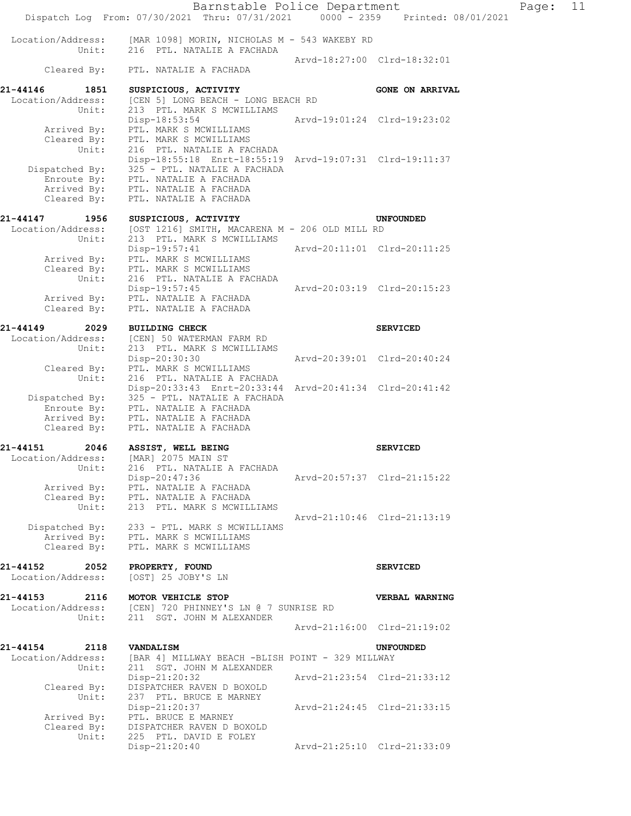|                                                       | Barnstable Police Department<br>Dispatch Log From: 07/30/2021 Thru: 07/31/2021 0000 - 2359 Printed: 08/01/2021                                                                                                  |                             |                             | Page: | 11 |
|-------------------------------------------------------|-----------------------------------------------------------------------------------------------------------------------------------------------------------------------------------------------------------------|-----------------------------|-----------------------------|-------|----|
| Location/Address:<br>Unit:                            | [MAR 1098] MORIN, NICHOLAS M - 543 WAKEBY RD<br>216 PTL. NATALIE A FACHADA                                                                                                                                      |                             |                             |       |    |
| Cleared By:                                           | PTL. NATALIE A FACHADA                                                                                                                                                                                          |                             | Arvd-18:27:00 Clrd-18:32:01 |       |    |
| 21-44146<br>1851<br>Location/Address:<br>Unit:        | SUSPICIOUS, ACTIVITY<br>[CEN 5] LONG BEACH - LONG BEACH RD<br>213 PTL. MARK S MCWILLIAMS                                                                                                                        |                             | <b>GONE ON ARRIVAL</b>      |       |    |
| Arrived By:                                           | Disp-18:53:54<br>PTL. MARK S MCWILLIAMS<br>Cleared By: PTL. MARK S MCWILLIAMS                                                                                                                                   |                             | Arvd-19:01:24 Clrd-19:23:02 |       |    |
| Unit:<br>Dispatched By:<br>Enroute By:<br>Cleared By: | 216 PTL. NATALIE A FACHADA<br>Disp-18:55:18 Enrt-18:55:19 Arvd-19:07:31 Clrd-19:11:37<br>325 - PTL. NATALIE A FACHADA<br>PTL. NATALIE A FACHADA<br>Arrived By: PTL. NATALIE A FACHADA<br>PTL. NATALIE A FACHADA |                             |                             |       |    |
| 21-44147<br>1956                                      | SUSPICIOUS, ACTIVITY                                                                                                                                                                                            |                             | <b>UNFOUNDED</b>            |       |    |
| Location/Address:<br>Unit:                            | [OST 1216] SMITH, MACARENA M - 206 OLD MILL RD<br>213 PTL. MARK S MCWILLIAMS                                                                                                                                    |                             |                             |       |    |
| Arrived By:<br>Cleared By:                            | Disp-19:57:41<br>PTL. MARK S MCWILLIAMS<br>PTL. MARK S MCWILLIAMS                                                                                                                                               |                             |                             |       |    |
| Unit:<br>Cleared By:                                  | 216 PTL. NATALIE A FACHADA<br>Disp-19:57:45<br>Arrived By: PTL. NATALIE A FACHADA<br>PTL. NATALIE A FACHADA                                                                                                     |                             | Arvd-20:03:19 Clrd-20:15:23 |       |    |
|                                                       |                                                                                                                                                                                                                 |                             |                             |       |    |
| 21-44149<br>2029<br>Location/Address:<br>Unit:        | <b>BUILDING CHECK</b><br>[CEN] 50 WATERMAN FARM RD<br>213 PTL. MARK S MCWILLIAMS                                                                                                                                |                             | <b>SERVICED</b>             |       |    |
| Cleared By:<br>Unit:                                  | Disp-20:30:30<br>PTL. MARK S MCWILLIAMS<br>216 PTL. NATALIE A FACHADA                                                                                                                                           | Arvd-20:39:01 Clrd-20:40:24 |                             |       |    |
| Dispatched By:<br>Enroute By:<br>Cleared By:          | Disp-20:33:43 Enrt-20:33:44 Arvd-20:41:34 Clrd-20:41:42<br>325 - PTL. NATALIE A FACHADA<br>PTL. NATALIE A FACHADA<br>Arrived By: PTL. NATALIE A FACHADA<br>PTL. NATALIE A FACHADA                               |                             |                             |       |    |
| 21-44151<br>2046                                      | ASSIST, WELL BEING                                                                                                                                                                                              |                             | <b>SERVICED</b>             |       |    |
| Location/Address:<br>Unit:                            | [MAR] 2075 MAIN ST<br>216 PTL. NATALIE A FACHADA                                                                                                                                                                |                             |                             |       |    |
| Arrived By:<br>Cleared By:<br>Unit:                   | Disp-20:47:36<br>PTL. NATALIE A FACHADA<br>PTL. NATALIE A FACHADA<br>213 PTL. MARK S MCWILLIAMS                                                                                                                 |                             | Arvd-20:57:37 Clrd-21:15:22 |       |    |
| Dispatched By:<br>Arrived By:<br>Cleared By:          | 233 - PTL. MARK S MCWILLIAMS<br>PTL. MARK S MCWILLIAMS<br>PTL. MARK S MCWILLIAMS                                                                                                                                |                             | Aryd-21:10:46 Clrd-21:13:19 |       |    |
| 21-44152<br>2052<br>Location/Address:                 | PROPERTY, FOUND<br>[OST] 25 JOBY'S LN                                                                                                                                                                           |                             | <b>SERVICED</b>             |       |    |
| 21-44153<br>2116<br>Location/Address:<br>Unit:        | MOTOR VEHICLE STOP<br>[CEN] 720 PHINNEY'S LN @ 7 SUNRISE RD<br>211 SGT. JOHN M ALEXANDER                                                                                                                        |                             | VERBAL WARNING              |       |    |
|                                                       |                                                                                                                                                                                                                 |                             | Arvd-21:16:00 Clrd-21:19:02 |       |    |
| 21-44154<br>2118<br>Location/Address:<br>Unit:        | <b>VANDALISM</b><br>[BAR 4] MILLWAY BEACH -BLISH POINT - 329 MILLWAY<br>211 SGT. JOHN M ALEXANDER                                                                                                               |                             | <b>UNFOUNDED</b>            |       |    |
| Cleared By:<br>Unit:                                  | Disp-21:20:32<br>DISPATCHER RAVEN D BOXOLD<br>237 PTL. BRUCE E MARNEY                                                                                                                                           |                             | Arvd-21:23:54 Clrd-21:33:12 |       |    |
| Arrived By:<br>Cleared By:                            | Disp-21:20:37<br>PTL. BRUCE E MARNEY<br>DISPATCHER RAVEN D BOXOLD                                                                                                                                               |                             | Arvd-21:24:45 Clrd-21:33:15 |       |    |
| Unit:                                                 | 225 PTL. DAVID E FOLEY<br>Disp-21:20:40                                                                                                                                                                         |                             | Arvd-21:25:10 Clrd-21:33:09 |       |    |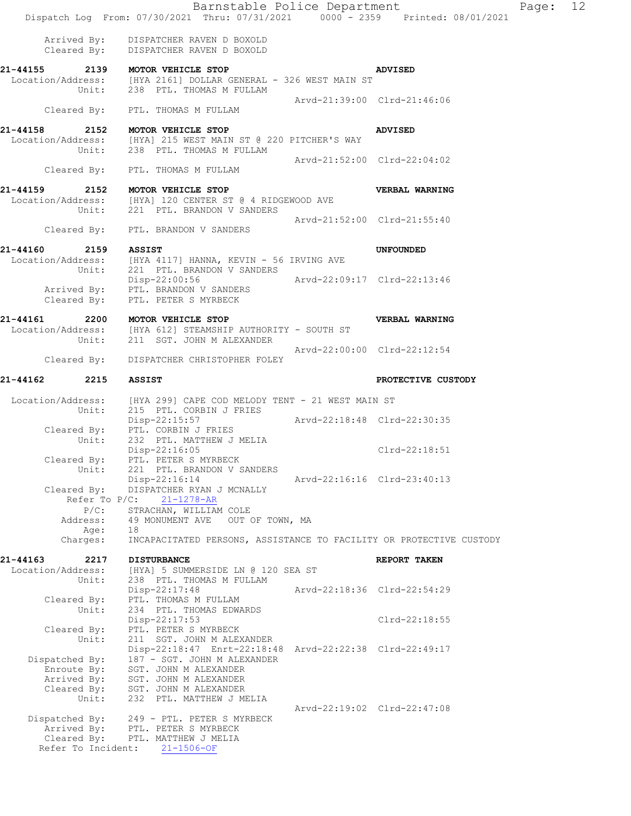|                               |                             | Barnstable Police Department<br>Dispatch Log From: 07/30/2021 Thru: 07/31/2021 0000 - 2359 Printed: 08/01/2021                       |                             |                             | Page: 12 |  |
|-------------------------------|-----------------------------|--------------------------------------------------------------------------------------------------------------------------------------|-----------------------------|-----------------------------|----------|--|
|                               |                             | Arrived By: DISPATCHER RAVEN D BOXOLD<br>Cleared By: DISPATCHER RAVEN D BOXOLD                                                       |                             |                             |          |  |
|                               |                             | 21-44155 2139 MOTOR VEHICLE STOP<br>Location/Address: [HYA 2161] DOLLAR GENERAL - 326 WEST MAIN ST<br>Unit: 238 PTL. THOMAS M FULLAM |                             | <b>ADVISED</b>              |          |  |
|                               |                             | Cleared By: PTL. THOMAS M FULLAM                                                                                                     | Arvd-21:39:00 Clrd-21:46:06 |                             |          |  |
| 21-44158                      |                             |                                                                                                                                      |                             |                             |          |  |
|                               |                             | 2152 MOTOR VEHICLE STOP<br>Location/Address: [HYA] 215 WEST MAIN ST @ 220 PITCHER'S WAY<br>Unit: 238 PTL. THOMAS M FULLAM            |                             | <b>ADVISED</b>              |          |  |
|                               |                             | Cleared By: PTL. THOMAS M FULLAM                                                                                                     | Arvd-21:52:00 Clrd-22:04:02 |                             |          |  |
| 21-44159                      |                             | 2152 MOTOR VEHICLE STOP<br>Location/Address: [HYA] 120 CENTER ST @ 4 RIDGEWOOD AVE                                                   |                             | VERBAL WARNING              |          |  |
|                               |                             | Unit: 221 PTL. BRANDON V SANDERS                                                                                                     |                             | Arvd-21:52:00 Clrd-21:55:40 |          |  |
| 21-44160                      |                             | Cleared By: PTL. BRANDON V SANDERS                                                                                                   |                             |                             |          |  |
|                               |                             | 2159 ASSIST<br>Location/Address: [HYA 4117] HANNA, KEVIN - 56 IRVING AVE<br>Unit: 221 PTL. BRANDON V SANDERS                         |                             | <b>UNFOUNDED</b>            |          |  |
|                               |                             | Disp-22:00:56 Arvd-22:09:17 Clrd-22:13:46<br>Arrived By: PTL. BRANDON V SANDERS                                                      |                             |                             |          |  |
| Cleared By:                   |                             | PTL. PETER S MYRBECK<br>21-44161 2200 MOTOR VEHICLE STOP                                                                             |                             |                             |          |  |
|                               | Unit:                       | Location/Address: [HYA 612] STEAMSHIP AUTHORITY - SOUTH ST<br>211 SGT. JOHN M ALEXANDER                                              |                             | VERBAL WARNING              |          |  |
| Cleared By:                   |                             | DISPATCHER CHRISTOPHER FOLEY                                                                                                         |                             | Arvd-22:00:00 Clrd-22:12:54 |          |  |
| 21-44162                      | 2215                        | <b>ASSIST</b>                                                                                                                        |                             | PROTECTIVE CUSTODY          |          |  |
|                               |                             |                                                                                                                                      |                             |                             |          |  |
|                               | Unit:                       | Location/Address: [HYA 299] CAPE COD MELODY TENT - 21 WEST MAIN ST<br>215 PTL. CORBIN J FRIES<br>Disp-22:15:57                       | Arvd-22:18:48 Clrd-22:30:35 |                             |          |  |
|                               | Unit:                       | Cleared By: PTL. CORBIN J FRIES<br>232 PTL. MATTHEW J MELIA                                                                          |                             |                             |          |  |
| Cleared By:                   |                             | Disp-22:16:05<br>PTL. PETER S MYRBECK                                                                                                |                             | $Clrd-22:18:51$             |          |  |
|                               | Unit:                       | 221 PTL. BRANDON V SANDERS<br>Disp-22:16:14                                                                                          |                             | Arvd-22:16:16 Clrd-23:40:13 |          |  |
| Cleared By:                   | Refer To $P/C$ :            | DISPATCHER RYAN J MCNALLY<br>$21 - 1278 - AR$                                                                                        |                             |                             |          |  |
|                               | $P/C$ :<br>Address:<br>Age: | STRACHAN, WILLIAM COLE<br>49 MONUMENT AVE OUT OF TOWN, MA<br>18                                                                      |                             |                             |          |  |
|                               | Charges:                    | INCAPACITATED PERSONS, ASSISTANCE TO FACILITY OR PROTECTIVE CUSTODY                                                                  |                             |                             |          |  |
| 21-44163<br>Location/Address: | 2217                        | <b>DISTURBANCE</b>                                                                                                                   |                             | REPORT TAKEN                |          |  |
|                               | Unit:                       | [HYA] 5 SUMMERSIDE LN @ 120 SEA ST<br>238 PTL. THOMAS M FULLAM<br>Disp-22:17:48                                                      |                             | Arvd-22:18:36 Clrd-22:54:29 |          |  |
| Cleared By:                   | Unit:                       | PTL. THOMAS M FULLAM<br>234 PTL. THOMAS EDWARDS                                                                                      |                             |                             |          |  |
| Cleared By:                   |                             | Disp-22:17:53<br>PTL. PETER S MYRBECK                                                                                                |                             | $Clrd-22:18:55$             |          |  |
|                               | Unit:                       | 211 SGT. JOHN M ALEXANDER<br>Disp-22:18:47 Enrt-22:18:48 Arvd-22:22:38 Clrd-22:49:17                                                 |                             |                             |          |  |
| Dispatched By:<br>Enroute By: |                             | 187 - SGT. JOHN M ALEXANDER<br>SGT. JOHN M ALEXANDER                                                                                 |                             |                             |          |  |
| Arrived By:                   |                             | SGT. JOHN M ALEXANDER                                                                                                                |                             |                             |          |  |
| Cleared By:                   | Unit:                       | SGT. JOHN M ALEXANDER<br>232 PTL. MATTHEW J MELIA                                                                                    |                             |                             |          |  |
|                               |                             | Dispatched By: 249 - PTL. PETER S MYRBECK                                                                                            |                             | Arvd-22:19:02 Clrd-22:47:08 |          |  |
| Arrived By:                   |                             | PTL. PETER S MYRBECK                                                                                                                 |                             |                             |          |  |
| Cleared By:                   |                             | PTL. MATTHEW J MELIA<br>Refer To Incident: 21-1506-OF                                                                                |                             |                             |          |  |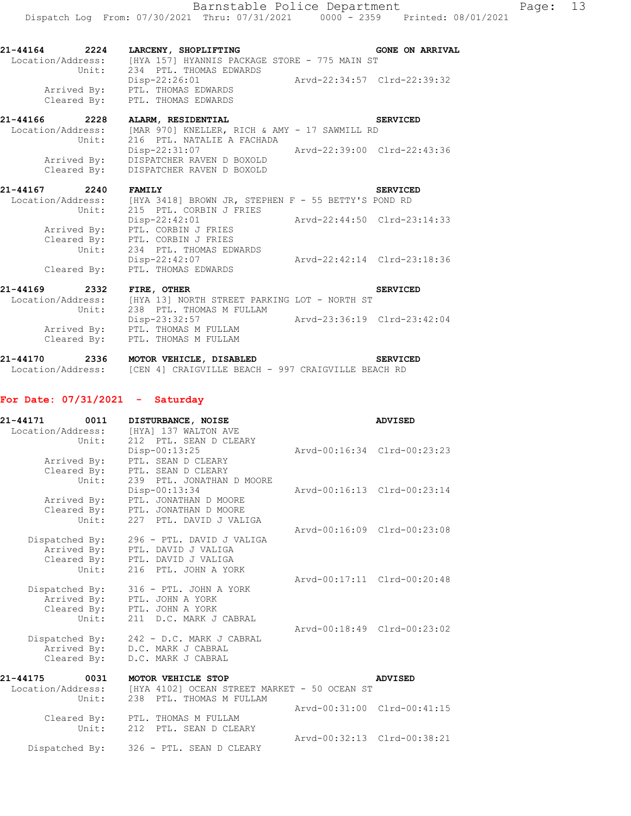| 21-44164          | 2224        | LARCENY, SHOPLIFTING                                                     | <b>GONE ON ARRIVAL</b>      |
|-------------------|-------------|--------------------------------------------------------------------------|-----------------------------|
| Location/Address: | Unit:       | [HYA 157] HYANNIS PACKAGE STORE - 775 MAIN ST<br>234 PTL. THOMAS EDWARDS |                             |
|                   |             | Disp-22:26:01                                                            | Arvd-22:34:57 Clrd-22:39:32 |
|                   | Arrived By: | PTL. THOMAS EDWARDS                                                      |                             |
|                   |             | Cleared By: PTL. THOMAS EDWARDS                                          |                             |
| $21 - 11166$      | າາາວ        | <b>ATADM</b><br><b>DECTREMETAT</b>                                       | CDIITCHD                    |

| 21-44166          | 2228           | ALARM, RESIDENTIAL                            | SERVICED                    |
|-------------------|----------------|-----------------------------------------------|-----------------------------|
| Location/Address: |                | [MAR 970] KNELLER, RICH & AMY - 17 SAWMILL RD |                             |
|                   | $\text{Unit:}$ | 216 PTL. NATALIE A FACHADA                    |                             |
|                   |                | Disp-22:31:07                                 | Arvd-22:39:00 Clrd-22:43:36 |
|                   | Arrived By:    | DISPATCHER RAVEN D BOXOLD                     |                             |
|                   | Cleared By:    | DISPATCHER RAVEN D BOXOLD                     |                             |

| 21-44167          | 2240        | <b>FAMILY</b>                                       | <b>SERVICED</b>             |
|-------------------|-------------|-----------------------------------------------------|-----------------------------|
| Location/Address: |             | [HYA 3418] BROWN JR, STEPHEN F - 55 BETTY'S POND RD |                             |
|                   | Unit:       | 215 PTL. CORBIN J FRIES                             |                             |
|                   |             | $Disp-22:42:01$                                     | Arvd-22:44:50 Clrd-23:14:33 |
|                   | Arrived By: | PTL. CORBIN J FRIES                                 |                             |
|                   | Cleared By: | PTL. CORBIN J FRIES                                 |                             |
|                   | Unit:       | 234 PTL. THOMAS EDWARDS                             |                             |
|                   |             | $Disp-22:42:07$                                     | Arvd-22:42:14 Clrd-23:18:36 |
|                   | Cleared By: | PTL. THOMAS EDWARDS                                 |                             |

| 21-44169          | 2332        | FIRE, OTHER                                  | <b>SERVICED</b>             |
|-------------------|-------------|----------------------------------------------|-----------------------------|
| Location/Address: |             | [HYA 13] NORTH STREET PARKING LOT - NORTH ST |                             |
|                   | Unit:       | 238 PTL. THOMAS M FULLAM                     |                             |
|                   |             | Disp-23:32:57                                | Arvd-23:36:19 Clrd-23:42:04 |
|                   | Arrived By: | PTL. THOMAS M FULLAM                         |                             |
|                   | Cleared By: | PTL. THOMAS M FULLAM                         |                             |
|                   |             |                                              |                             |

| 21-44170          | 2336 | MOTOR VEHICLE, DISABLED |                                                    |  | <b>SERVICED</b> |
|-------------------|------|-------------------------|----------------------------------------------------|--|-----------------|
| Location/Address: |      |                         | [CEN 4] CRAIGVILLE BEACH - 997 CRAIGVILLE BEACH RD |  |                 |

# **For Date: 07/31/2021 - Saturday**

| 21-44171<br>Location/Address: | 0011<br>Unit:                          | DISTURBANCE, NOISE<br>[HYA] 137 WALTON AVE<br>212 PTL. SEAN D CLEARY                                             |                             | <b>ADVISED</b>              |
|-------------------------------|----------------------------------------|------------------------------------------------------------------------------------------------------------------|-----------------------------|-----------------------------|
|                               | Arrived By:<br>Cleared By:<br>Unit:    | Disp-00:13:25<br>PTL. SEAN D CLEARY<br>PTL. SEAN D CLEARY<br>239 PTL. JONATHAN D MOORE                           | Aryd-00:16:34 Clrd-00:23:23 |                             |
|                               | Arrived By:<br>Unit:                   | Disp-00:13:34<br>PTL. JONATHAN D MOORE<br>Cleared By: PTL. JONATHAN D MOORE<br>227 PTL. DAVID J VALIGA           |                             | Arvd-00:16:13 Clrd-00:23:14 |
|                               | Dispatched By:<br>Arrived By:<br>Unit: | 296 - PTL. DAVID J VALIGA<br>PTL. DAVID J VALIGA<br>Cleared By: PTL. DAVID J VALIGA<br>216 PTL. JOHN A YORK      |                             | Arvd-00:16:09 Clrd-00:23:08 |
|                               | Dispatched By:<br>Arrived By:<br>Unit: | 316 - PTL. JOHN A YORK<br>PTL. JOHN A YORK<br>Cleared By: PTL. JOHN A YORK<br>211 D.C. MARK J CABRAL             |                             | Arvd-00:17:11 Clrd-00:20:48 |
|                               | Dispatched By:<br>Cleared By:          | 242 - D.C. MARK J CABRAL<br>Arrived By: D.C. MARK J CABRAL<br>D.C. MARK J CABRAL                                 |                             | Arvd-00:18:49 Clrd-00:23:02 |
| 21-44175                      | 0031<br>Unit:                          | MOTOR VEHICLE STOP<br>Location/Address: [HYA 4102] OCEAN STREET MARKET - 50 OCEAN ST<br>238 PTL. THOMAS M FULLAM |                             | <b>ADVISED</b>              |
|                               | Unit:                                  | Cleared By: PTL. THOMAS M FULLAM<br>212 PTL. SEAN D CLEARY                                                       |                             | Arvd-00:31:00 Clrd-00:41:15 |
|                               | Dispatched By:                         | 326 - PTL. SEAN D CLEARY                                                                                         |                             | Arvd-00:32:13 Clrd-00:38:21 |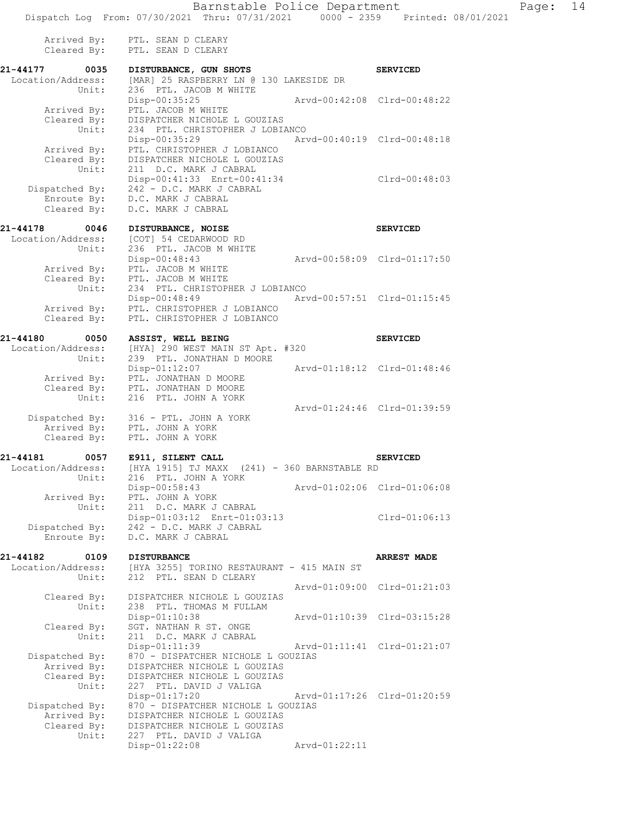Arrived By: PTL. SEAN D CLEARY Cleared By: PTL. SEAN D CLEARY **21-44177 0035 DISTURBANCE, GUN SHOTS SERVICED**  Location/Address: [MAR] 25 RASPBERRY LN @ 130 LAKESIDE DR Unit: 236 PTL. JACOB M WHITE Disp-00:35:25 Arvd-00:42:08 Clrd-00:48:22 Arrived By: PTL. JACOB M WHITE Cleared By: DISPATCHER NICHOLE L GOUZIAS Unit: 234 PTL. CHRISTOPHER J LOBIANCO Disp-00:35:29 Arvd-00:40:19 Clrd-00:48:18 Arrived By: PTL. CHRISTOPHER J LOBIANCO Cleared By: DISPATCHER NICHOLE L GOUZIAS Unit: 211 D.C. MARK J CABRAL Disp-00:41:33 Enrt-00:41:34 Clrd-00:48:03 Dispatched By: 242 - D.C. MARK J CABRAL Enroute By: D.C. MARK J CABRAL Cleared By: D.C. MARK J CABRAL **21-44178 0046 DISTURBANCE, NOISE SERVICED**  Location/Address: [COT] 54 CEDARWOOD RD Unit: 236 PTL. JACOB M WHITE Disp-00:48:43 Arvd-00:58:09 Clrd-01:17:50 Arrived By: PTL. JACOB M WHITE Cleared By: PTL. JACOB M WHITE Unit: 234 PTL. CHRISTOPHER J LOBIANCO Disp-00:48:49 Arvd-00:57:51 Clrd-01:15:45 Arrived By: PTL. CHRISTOPHER J LOBIANCO Cleared By: PTL. CHRISTOPHER J LOBIANCO **21-44180 0050 ASSIST, WELL BEING SERVICED**  Location/Address: [HYA] 290 WEST MAIN ST Apt. #320 Unit: 239 PTL. JONATHAN D MOORE Disp-01:12:07 Arvd-01:18:12 Clrd-01:48:46 Arrived By: PTL. JONATHAN D MOORE Cleared By: PTL. JONATHAN D MOORE Unit: 216 PTL. JOHN A YORK Arvd-01:24:46 Clrd-01:39:59 Dispatched By: 316 - PTL. JOHN A YORK Arrived By: PTL. JOHN A YORK Cleared By: PTL. JOHN A YORK **21-44181 0057 E911, SILENT CALL SERVICED**  Location/Address: [HYA 1915] TJ MAXX (241) - 360 BARNSTABLE RD Unit: 216 PTL. JOHN A YORK Disp-00:58:43 Arvd-01:02:06 Clrd-01:06:08 Arrived By: PTL. JOHN A YORK Unit: 211 D.C. MARK J CABRAL Disp-01:03:12 Enrt-01:03:13 Clrd-01:06:13 Dispatched By: 242 - D.C. MARK J CABRAL Enroute By: D.C. MARK J CABRAL **21-44182 0109 DISTURBANCE ARREST MADE**  Location/Address: [HYA 3255] TORINO RESTAURANT - 415 MAIN ST Unit: 212 PTL. SEAN D CLEARY Arvd-01:09:00 Clrd-01:21:03 Cleared By: DISPATCHER NICHOLE L GOUZIAS Unit: 238 PTL. THOMAS M FULLAM Disp-01:10:38 Arvd-01:10:39 Clrd-03:15:28 Cleared By: SGT. NATHAN R ST. ONGE<br>Unit: 211 D.C. MARK J CABRAL 211 D.C. MARK J CABRAL<br>Disp-01:11:39 Arvd-01:11:41 Clrd-01:21:07 Dispatched By: 870 - DISPATCHER NICHOLE L GOUZIAS Arrived By: DISPATCHER NICHOLE L GOUZIAS Cleared By: DISPATCHER NICHOLE L GOUZIAS Unit: 227 PTL. DAVID J VALIGA<br>Disp-01:17:20 Arvd-01:17:26 Clrd-01:20:59 Dispatched By: 870 - DISPATCHER NICHOLE L GOUZIAS Arrived By: DISPATCHER NICHOLE L GOUZIAS Cleared By: DISPATCHER NICHOLE L GOUZIAS Unit: 227 PTL. DAVID J VALIGA<br>Disp-01:22:08 Arvd-01:22:11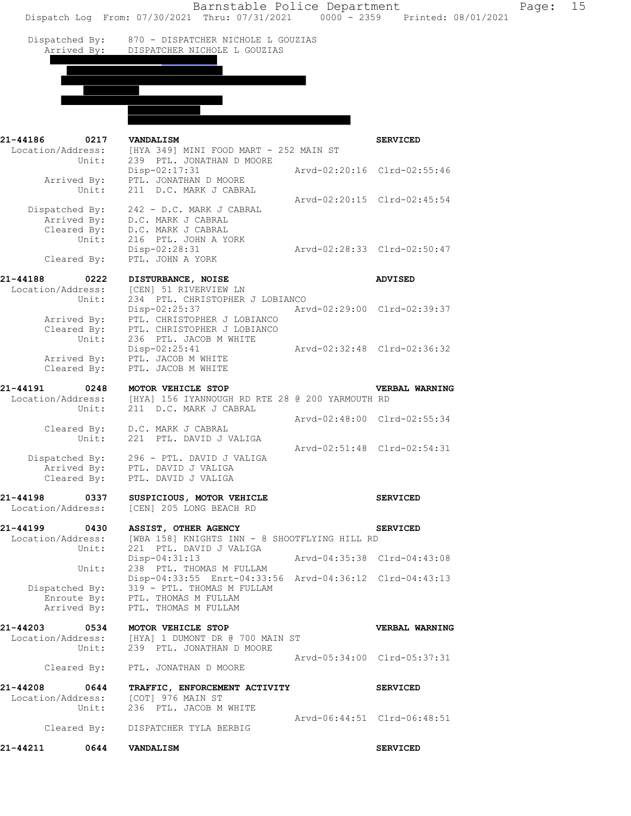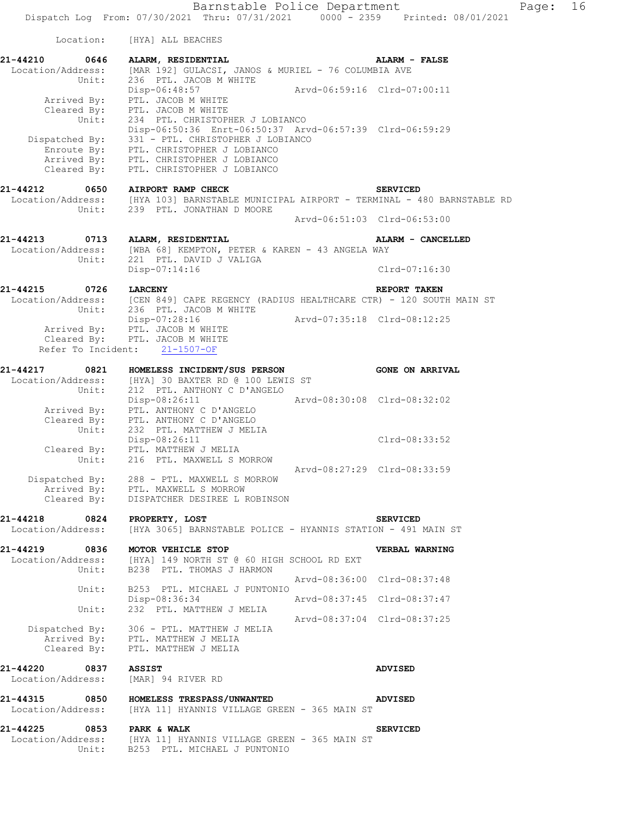Dispatched By: 331 - PTL. CHRISTOPHER J LOBIANCO

 Enroute By: PTL. CHRISTOPHER J LOBIANCO Arrived By: PTL. CHRISTOPHER J LOBIANCO Cleared By: PTL. CHRISTOPHER J LOBIANCO **21-44212 0650 AIRPORT RAMP CHECK SERVICED**  Location/Address: [HYA 103] BARNSTABLE MUNICIPAL AIRPORT - TERMINAL - 480 BARNSTABLE RD Unit: 239 PTL. JONATHAN D MOORE Arvd-06:51:03 Clrd-06:53:00 **21-44213 0713 ALARM, RESIDENTIAL ALARM - CANCELLED**  Location/Address: [WBA 68] KEMPTON, PETER & KAREN - 43 ANGELA WAY Unit: 221 PTL. DAVID J VALIGA Disp-07:14:16 Clrd-07:16:30 **21-44215 0726 LARCENY REPORT TAKEN**  Location/Address: [CEN 849] CAPE REGENCY (RADIUS HEALTHCARE CTR) - 120 SOUTH MAIN ST Unit: 236 PTL. JACOB M WHITE Disp-07:28:16 Arvd-07:35:18 Clrd-08:12:25 Arrived By: PTL. JACOB M WHITE Cleared By: PTL. JACOB M WHITE Refer To Incident: 21-1507-OF **21-44217 0821 HOMELESS INCIDENT/SUS PERSON GONE ON ARRIVAL**  Location/Address: [HYA] 30 BAXTER RD @ 100 LEWIS ST Unit: 212 PTL. ANTHONY C D'ANGELO Disp-08:26:11 Arvd-08:30:08 Clrd-08:32:02 Arrived By: PTL. ANTHONY C D'ANGELO Cleared By: PTL. ANTHONY C D'ANGELO Unit: 232 PTL. MATTHEW J MELIA Disp-08:26:11 Clrd-08:33:52 Cleared By: PTL. MATTHEW J MELIA Unit: 216 PTL. MAXWELL S MORROW Arvd-08:27:29 Clrd-08:33:59 Dispatched By: 288 - PTL. MAXWELL S MORROW Arrived By: PTL. MAXWELL S MORROW Cleared By: DISPATCHER DESIREE L ROBINSON **21-44218 0824 PROPERTY, LOST SERVICED**  Location/Address: [HYA 3065] BARNSTABLE POLICE - HYANNIS STATION - 491 MAIN ST **21-44219 0836 MOTOR VEHICLE STOP VERBAL WARNING**  Location/Address: [HYA] 149 NORTH ST @ 60 HIGH SCHOOL RD EXT Unit: B238 PTL. THOMAS J HARMON Arvd-08:36:00 Clrd-08:37:48 Unit: B253 PTL. MICHAEL J PUNTONIO<br>Disp-08:36:34 Disp-08:36:34 Arvd-08:37:45 Clrd-08:37:47 Unit: 232 PTL. MATTHEW J MELIA Arvd-08:37:04 Clrd-08:37:25 Dispatched By: 306 - PTL. MATTHEW J MELIA Arrived By: PTL. MATTHEW J MELIA Cleared By: PTL. MATTHEW J MELIA **21-44220 0837 ASSIST ADVISED**  Location/Address: [MAR] 94 RIVER RD **21-44315 0850 HOMELESS TRESPASS/UNWANTED ADVISED** 

 Location/Address: [HYA 11] HYANNIS VILLAGE GREEN - 365 MAIN ST **21-44225 0853 PARK & WALK SERVICED**  [HYA 11] HYANNIS VILLAGE GREEN - 365 MAIN ST<br>B253 PTL. MICHAEL J PUNTONIO

Unit: B253 PTL. MICHAEL J PUNTONIO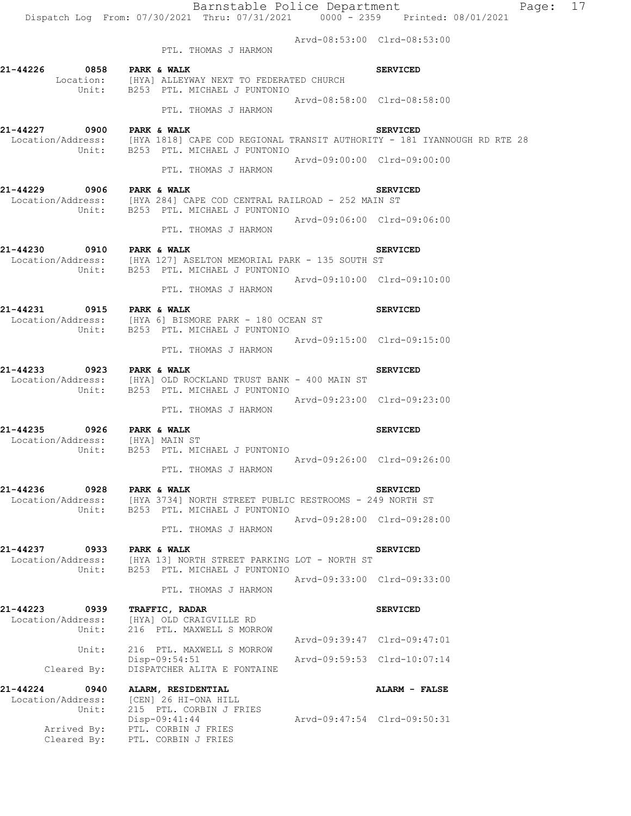Dispatch Log From: 07/30/2021 Thru: 07/31/2021 0000 - 2359 Printed: 08/01/2021

 Arvd-08:53:00 Clrd-08:53:00 PTL. THOMAS J HARMON

| 21-44226 0858 PARK & WALK                                    | Location: [HYA] ALLEYWAY NEXT TO FEDERATED CHURCH<br>Unit: B253 PTL. MICHAEL J PUNTONIO                                                                 |                             | <b>SERVICED</b> |
|--------------------------------------------------------------|---------------------------------------------------------------------------------------------------------------------------------------------------------|-----------------------------|-----------------|
|                                                              | PTL. THOMAS J HARMON                                                                                                                                    | Arvd-08:58:00 Clrd-08:58:00 |                 |
| 21-44227 0900 PARK & WALK                                    | Location/Address: [HYA 1818] CAPE COD REGIONAL TRANSIT AUTHORITY - 181 IYANNOUGH RD RTE 28<br>Unit: B253 PTL. MICHAEL J PUNTONIO                        |                             | <b>SERVICED</b> |
|                                                              | PTL. THOMAS J HARMON                                                                                                                                    | Arvd-09:00:00 Clrd-09:00:00 |                 |
| 21-44229 0906 PARK & WALK                                    | Location/Address: [HYA 284] CAPE COD CENTRAL RAILROAD - 252 MAIN ST<br>Unit: B253 PTL. MICHAEL J PUNTONIO                                               |                             | <b>SERVICED</b> |
|                                                              | PTL. THOMAS J HARMON                                                                                                                                    | Arvd-09:06:00 Clrd-09:06:00 |                 |
| 21-44230 0910 PARK & WALK                                    | Location/Address: [HYA 127] ASELTON MEMORIAL PARK - 135 SOUTH ST<br>Unit: B253 PTL. MICHAEL J PUNTONIO                                                  |                             | <b>SERVICED</b> |
|                                                              | PTL. THOMAS J HARMON                                                                                                                                    | Arvd-09:10:00 Clrd-09:10:00 |                 |
| 21-44231 0915 PARK & WALK                                    | Location/Address: [HYA 6] BISMORE PARK - 180 OCEAN ST<br>Unit: B253 PTL. MICHAEL J PUNTONIO                                                             |                             | <b>SERVICED</b> |
|                                                              | PTL. THOMAS J HARMON                                                                                                                                    | Arvd-09:15:00 Clrd-09:15:00 |                 |
| 21-44233 0923 PARK & WALK                                    | Location/Address: [HYA] OLD ROCKLAND TRUST BANK - 400 MAIN ST<br>Unit: B253 PTL. MICHAEL J PUNTONIO                                                     |                             | <b>SERVICED</b> |
|                                                              | PTL. THOMAS J HARMON                                                                                                                                    | Arvd-09:23:00 Clrd-09:23:00 |                 |
| 21-44235 0926 PARK & WALK<br>Location/Address: [HYA] MAIN ST | Unit: B253 PTL. MICHAEL J PUNTONIO                                                                                                                      |                             | <b>SERVICED</b> |
|                                                              | PTL. THOMAS J HARMON                                                                                                                                    | Arvd-09:26:00 Clrd-09:26:00 |                 |
| 21-44236 0928 PARK & WALK                                    | Location/Address: [HYA 3734] NORTH STREET PUBLIC RESTROOMS - 249 NORTH ST<br>Unit: B253 PTL. MICHAEL J PUNTONIO                                         |                             | <b>SERVICED</b> |
|                                                              | PTL. THOMAS J HARMON                                                                                                                                    | Arvd-09:28:00 Clrd-09:28:00 |                 |
| 21-44237 0933 PARK & WALK                                    | $\texttt{Location/Address:} \qquad \texttt{[HYA 13] NORTH STREF PARKING LOT - NORTH ST} \\ \texttt{Unit:} \qquad \texttt{B253 PTL. MICHAEL J PUNTONIO}$ |                             | <b>SERVICED</b> |
|                                                              | PTL. THOMAS J HARMON                                                                                                                                    | Arvd-09:33:00 Clrd-09:33:00 |                 |
| 21-44223<br>0939<br>Location/Address:<br>Unit:               | TRAFFIC, RADAR<br>[HYA] OLD CRAIGVILLE RD<br>216 PTL. MAXWELL S MORROW                                                                                  |                             | <b>SERVICED</b> |
| Unit:                                                        | 216 PTL. MAXWELL S MORROW                                                                                                                               | Arvd-09:39:47 Clrd-09:47:01 |                 |
| Cleared By:                                                  | Disp-09:54:51<br>DISPATCHER ALITA E FONTAINE                                                                                                            | Arvd-09:59:53 Clrd-10:07:14 |                 |
| 21-44224<br>0940<br>Location/Address:<br>Unit:               | ALARM, RESIDENTIAL<br>[CEN] 26 HI-ONA HILL<br>215 PTL. CORBIN J FRIES                                                                                   |                             | ALARM - FALSE   |
| Cleared By:                                                  | $Disp-09:41:44$<br>Arrived By: PTL. CORBIN J FRIES<br>PTL. CORBIN J FRIES                                                                               | Arvd-09:47:54 Clrd-09:50:31 |                 |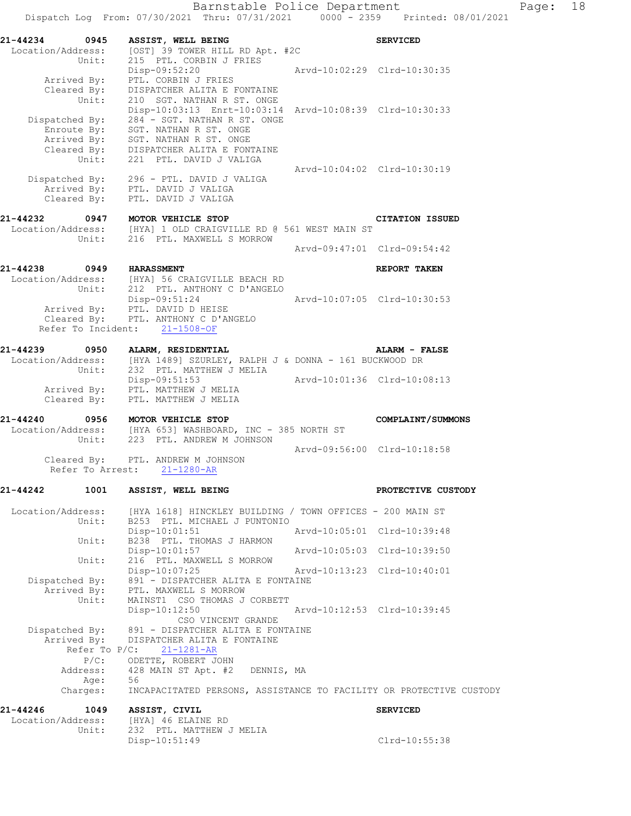| 21-44234 0945<br>Unit:                               | ASSIST, WELL BEING<br>Location/Address: [OST] 39 TOWER HILL RD Apt. #2C<br>215 PTL. CORBIN J FRIES                         |                             | <b>SERVICED</b>             |
|------------------------------------------------------|----------------------------------------------------------------------------------------------------------------------------|-----------------------------|-----------------------------|
|                                                      | Disp-09:52:20<br>Arrived By: PTL. CORBIN J FRIES<br>DISPATCHER ALITA E FONTAINE                                            | Arvd-10:02:29 Clrd-10:30:35 |                             |
| Cleared $\overline{By}$ :<br>Unit:<br>Dispatched By: | 210 SGT. NATHAN R ST. ONGE<br>Disp-10:03:13 Enrt-10:03:14 Arvd-10:08:39 Clrd-10:30:33<br>284 - SGT. NATHAN R ST. ONGE      |                             |                             |
|                                                      | Enroute By: SGT. NATHAN R ST. ONGE<br>Arrived By: SGT. NATHAN R ST. ONGE<br>Cleared By: DISPATCHER ALITA E FONTAINE        |                             |                             |
|                                                      | Unit: 221 PTL. DAVID J VALIGA<br>Dispatched By: 296 - PTL. DAVID J VALIGA                                                  | Arvd-10:04:02 Clrd-10:30:19 |                             |
|                                                      | Arrived By: PTL. DAVID J VALIGA<br>Cleared By: PTL. DAVID J VALIGA                                                         |                             |                             |
| 21-44232 0947                                        | MOTOR VEHICLE STOP                                                                                                         |                             | <b>CITATION ISSUED</b>      |
|                                                      | Location/Address: [HYA] 1 OLD CRAIGVILLE RD @ 561 WEST MAIN ST                                                             |                             |                             |
|                                                      | Unit: 216 PTL. MAXWELL S MORROW                                                                                            |                             | Arvd-09:47:01 Clrd-09:54:42 |
| 21-44238                                             | 0949 HARASSMENT                                                                                                            |                             | REPORT TAKEN                |
|                                                      | Location/Address: [HYA] 56 CRAIGVILLE BEACH RD<br>Unit: 212 PTL. ANTHONY C D'ANGELO                                        |                             |                             |
|                                                      | Disp-09:51:24                                                                                                              | Arvd-10:07:05 Clrd-10:30:53 |                             |
|                                                      | Arrived By: PTL. DAVID D HEISE                                                                                             |                             |                             |
|                                                      | Cleared By: PTL. ANTHONY C D'ANGELO<br>Refer To Incident: 21-1508-OF                                                       |                             |                             |
| 21-44239 0950 ALARM, RESIDENTIAL                     |                                                                                                                            |                             | <b>ALARM - FALSE</b>        |
|                                                      | Location/Address: [HYA 1489] SZURLEY, RALPH J & DONNA - 161 BUCKWOOD DR<br>Unit: 232 PTL. MATTHEW J MELIA<br>Disp-09:51:53 | Arvd-10:01:36 Clrd-10:08:13 |                             |
|                                                      | Arrived By: PTL. MATTHEW J MELIA<br>Cleared By: PTL. MATTHEW J MELIA                                                       |                             |                             |
| 21-44240                                             | 0956 MOTOR VEHICLE STOP                                                                                                    |                             | COMPLAINT/SUMMONS           |
|                                                      | Location/Address: [HYA 653] WASHBOARD, INC - 385 NORTH ST<br>Unit: 223 PTL. ANDREW M JOHNSON                               |                             |                             |
|                                                      | Cleared By: PTL. ANDREW M JOHNSON                                                                                          |                             | Arvd-09:56:00 Clrd-10:18:58 |
|                                                      | Refer To Arrest: 21-1280-AR                                                                                                |                             |                             |
| 21-44242 1001 ASSIST, WELL BEING                     |                                                                                                                            |                             | PROTECTIVE CUSTODY          |
| Location/Address:<br>Unit:                           | [HYA 1618] HINCKLEY BUILDING / TOWN OFFICES - 200 MAIN ST<br>B253 PTL. MICHAEL J PUNTONIO                                  |                             |                             |
| Unit:                                                | Disp-10:01:51<br>B238 PTL. THOMAS J HARMON                                                                                 |                             | Arvd-10:05:01 Clrd-10:39:48 |
|                                                      | Disp-10:01:57                                                                                                              | Arvd-10:05:03 Clrd-10:39:50 |                             |
| Unit:                                                | 216 PTL. MAXWELL S MORROW<br>Disp-10:07:25                                                                                 | Arvd-10:13:23 Clrd-10:40:01 |                             |
| Dispatched By:                                       | 891 - DISPATCHER ALITA E FONTAINE                                                                                          |                             |                             |
| Arrived By:<br>Unit:                                 | PTL. MAXWELL S MORROW<br>MAINST1 CSO THOMAS J CORBETT                                                                      |                             |                             |
|                                                      | $Disp-10:12:50$<br>CSO VINCENT GRANDE                                                                                      |                             | Arvd-10:12:53 Clrd-10:39:45 |
| Dispatched By:<br>Arrived By:<br>Refer To $P/C$ :    | 891 - DISPATCHER ALITA E FONTAINE<br>DISPATCHER ALITA E FONTAINE<br>$21 - 1281 - AR$                                       |                             |                             |
| $P/C$ :                                              | ODETTE, ROBERT JOHN                                                                                                        |                             |                             |
| Address:                                             | 428 MAIN ST Apt. #2 DENNIS, MA                                                                                             |                             |                             |
| Age:<br>Charges:                                     | 56<br>INCAPACITATED PERSONS, ASSISTANCE TO FACILITY OR PROTECTIVE CUSTODY                                                  |                             |                             |
| 21-44246<br>1049                                     | ASSIST, CIVIL                                                                                                              |                             | <b>SERVICED</b>             |
| Location/Address:<br>Unit:                           | [HYA] 46 ELAINE RD<br>232 PTL. MATTHEW J MELIA                                                                             |                             |                             |
|                                                      | Disp-10:51:49                                                                                                              |                             | Clrd-10:55:38               |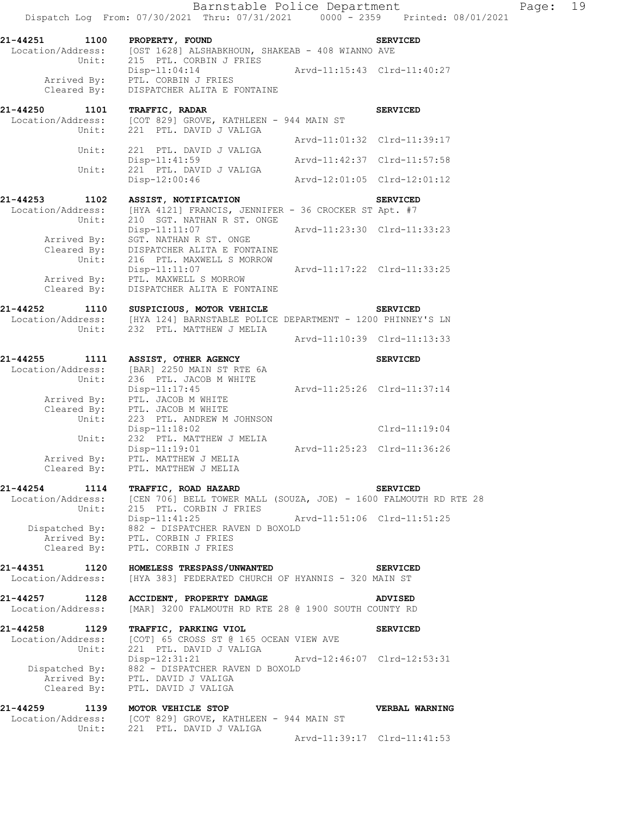Dispatch Log From: 07/30/2021 Thru: 07/31/2021 0000 - 2359 Printed: 08/01/2021 **21-44251 1100 PROPERTY, FOUND SERVICED**  Location/Address: [OST 1628] ALSHABKHOUN, SHAKEAB - 408 WIANNO AVE Unit: 215 PTL. CORBIN J FRIES Disp-11:04:14 Arvd-11:15:43 Clrd-11:40:27 Arrived By: PTL. CORBIN J FRIES Cleared By: DISPATCHER ALITA E FONTAINE **21-44250 1101 TRAFFIC, RADAR SERVICED**  Location/Address: [COT 829] GROVE, KATHLEEN - 944 MAIN ST Unit: 221 PTL. DAVID J VALIGA Arvd-11:01:32 Clrd-11:39:17 Unit: 221 PTL. DAVID J VALIGA Disp-11:41:59 Arvd-11:42:37 Clrd-11:57:58 Unit: 221 PTL. DAVID J VALIGA<br>Disp-12:00:46 Disp-12:00:46 Arvd-12:01:05 Clrd-12:01:12 **21-44253 1102 ASSIST, NOTIFICATION SERVICED**  Location/Address: [HYA 4121] FRANCIS, JENNIFER - 36 CROCKER ST Apt. #7 Unit: 210 SGT. NATHAN R ST. ONGE Disp-11:11:07 Arvd-11:23:30 Clrd-11:33:23 Arrived By: SGT. NATHAN R ST. ONGE Cleared By: DISPATCHER ALITA E FONTAINE Unit: 216 PTL. MAXWELL S MORROW Disp-11:11:07 Arvd-11:17:22 Clrd-11:33:25 Arrived By: PTL. MAXWELL S MORROW Cleared By: DISPATCHER ALITA E FONTAINE **21-44252 1110 SUSPICIOUS, MOTOR VEHICLE SERVICED**  Location/Address: [HYA 124] BARNSTABLE POLICE DEPARTMENT - 1200 PHINNEY'S LN Unit: 232 PTL. MATTHEW J MELIA Arvd-11:10:39 Clrd-11:13:33 **21-44255 1111 ASSIST, OTHER AGENCY SERVICED**  Location/Address: [BAR] 2250 MAIN ST RTE 6A Unit: 236 PTL. JACOB M WHITE Disp-11:17:45 Arvd-11:25:26 Clrd-11:37:14 Arrived By: PTL. JACOB M WHITE Cleared By: PTL. JACOB M WHITE<br>Unit: 223 PTL. ANDREW M 223 PTL. ANDREW M JOHNSON Disp-11:18:02 Clrd-11:19:04 Unit: 232 PTL. MATTHEW J MELIA Disp-11:19:01 Arvd-11:25:23 Clrd-11:36:26 Arrived By: PTL. MATTHEW J MELIA Cleared By: PTL. MATTHEW J MELIA **21-44254 1114 TRAFFIC, ROAD HAZARD SERVICED**  Location/Address: [CEN 706] BELL TOWER MALL (SOUZA, JOE) - 1600 FALMOUTH RD RTE 28 Unit: 215 PTL. CORBIN J FRIES Disp-11:41:25 Arvd-11:51:06 Clrd-11:51:25 Dispatched By: 882 - DISPATCHER RAVEN D BOXOLD Arrived By: PTL. CORBIN J FRIES Cleared By: PTL. CORBIN J FRIES **21-44351 1120 HOMELESS TRESPASS/UNWANTED SERVICED**  Location/Address: [HYA 383] FEDERATED CHURCH OF HYANNIS - 320 MAIN ST **21-44257 1128 ACCIDENT, PROPERTY DAMAGE ADVISED**  Location/Address: [MAR] 3200 FALMOUTH RD RTE 28 @ 1900 SOUTH COUNTY RD **21-44258 1129 TRAFFIC, PARKING VIOL SERVICED**  Location/Address: [COT] 65 CROSS ST @ 165 OCEAN VIEW AVE Unit: 221 PTL. DAVID J VALIGA Disp-12:31:21 Arvd-12:46:07 Clrd-12:53:31 Dispatched By: 882 - DISPATCHER RAVEN D BOXOLD Arrived By: PTL. DAVID J VALIGA Cleared By: PTL. DAVID J VALIGA **21-44259 1139 MOTOR VEHICLE STOP VERBAL WARNING**  Location/Address: [COT 829] GROVE, KATHLEEN - 944 MAIN ST Unit: 221 PTL. DAVID J VALIGA Arvd-11:39:17 Clrd-11:41:53

Barnstable Police Department Page: 19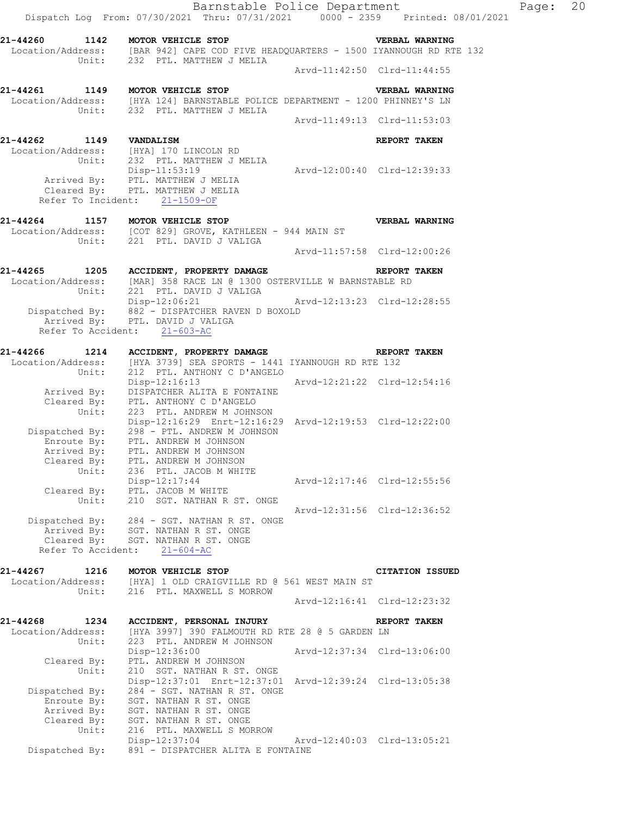Barnstable Police Department Page: 20 Dispatch Log From: 07/30/2021 Thru: 07/31/2021 0000 - 2359 Printed: 08/01/2021 **21-44260 1142 MOTOR VEHICLE STOP VERBAL WARNING**  Location/Address: [BAR 942] CAPE COD FIVE HEADQUARTERS - 1500 IYANNOUGH RD RTE 132 Unit: 232 PTL. MATTHEW J MELIA Arvd-11:42:50 Clrd-11:44:55 **21-44261 1149 MOTOR VEHICLE STOP VERBAL WARNING**  Location/Address: [HYA 124] BARNSTABLE POLICE DEPARTMENT - 1200 PHINNEY'S LN Unit: 232 PTL. MATTHEW J MELIA Arvd-11:49:13 Clrd-11:53:03 **21-44262 1149 VANDALISM REPORT TAKEN**  Location/Address: [HYA] 170 LINCOLN RD Unit: 232 PTL. MATTHEW J MELIA Disp-11:53:19 Arvd-12:00:40 Clrd-12:39:33 Arrived By: PTL. MATTHEW J MELIA Cleared By: PTL. MATTHEW J MELIA Refer To Incident: 21-1509-OF **21-44264 1157 MOTOR VEHICLE STOP VERBAL WARNING**  Location/Address: [COT 829] GROVE, KATHLEEN - 944 MAIN ST Unit: 221 PTL. DAVID J VALIGA Arvd-11:57:58 Clrd-12:00:26 **21-44265 1205 ACCIDENT, PROPERTY DAMAGE REPORT TAKEN**  Location/Address: [MAR] 358 RACE LN @ 1300 OSTERVILLE W BARNSTABLE RD Unit: 221 PTL. DAVID J VALIGA Disp-12:06:21 Arvd-12:13:23 Clrd-12:28:55 Dispatched By: 882 - DISPATCHER RAVEN D BOXOLD Arrived By: PTL. DAVID J VALIGA Refer To Accident:  $21-603-AC$ **21-44266 1214 ACCIDENT, PROPERTY DAMAGE REPORT TAKEN**  Location/Address: [HYA 3739] SEA SPORTS - 1441 IYANNOUGH RD RTE 132 Unit: 212 PTL. ANTHONY C D'ANGELO Disp-12:16:13 Arvd-12:21:22 Clrd-12:54:16 Arrived By: DISPATCHER ALITA E FONTAINE Cleared By: PTL. ANTHONY C D'ANGELO Unit: 223 PTL. ANDREW M JOHNSON Disp-12:16:29 Enrt-12:16:29 Arvd-12:19:53 Clrd-12:22:00 Dispatched By: 298 - PTL. ANDREW M JOHNSON Enroute By: PTL. ANDREW M JOHNSON Arrived By: PTL. ANDREW M JOHNSON Cleared By: PTL. ANDREW M JOHNSON Unit: 236 PTL. JACOB M WHITE Disp-12:17:44 Arvd-12:17:46 Clrd-12:55:56 Cleared By: PTL. JACOB M WHITE Unit: 210 SGT. NATHAN R ST. ONGE Arvd-12:31:56 Clrd-12:36:52 Dispatched By: 284 - SGT. NATHAN R ST. ONGE Arrived By: SGT. NATHAN R ST. ONGE Cleared By: SGT. NATHAN R ST. ONGE Refer To Accident: 21-604-AC **21-44267 1216 MOTOR VEHICLE STOP CITATION ISSUED**  Location/Address: [HYA] 1 OLD CRAIGVILLE RD @ 561 WEST MAIN ST Unit: 216 PTL. MAXWELL S MORROW Arvd-12:16:41 Clrd-12:23:32 **21-44268 1234 ACCIDENT, PERSONAL INJURY REPORT TAKEN**  Location/Address: [HYA 3997] 390 FALMOUTH RD RTE 28 @ 5 GARDEN LN Unit: 223 PTL. ANDREW M JOHNSON Disp-12:36:00 Arvd-12:37:34 Clrd-13:06:00 Cleared By: PTL. ANDREW M JOHNSON Unit: 210 SGT. NATHAN R ST. ONGE Disp-12:37:01 Enrt-12:37:01 Arvd-12:39:24 Clrd-13:05:38 Dispatched By: 284 - SGT. NATHAN R ST. ONGE Enroute By: SGT. NATHAN R ST. ONGE Arrived By: SGT. NATHAN R ST. ONGE Cleared By: SGT. NATHAN R ST. ONGE Unit: 216 PTL. MAXWELL S MORROW Disp-12:37:04 Arvd-12:40:03 Clrd-13:05:21 Dispatched By: 891 - DISPATCHER ALITA E FONTAINE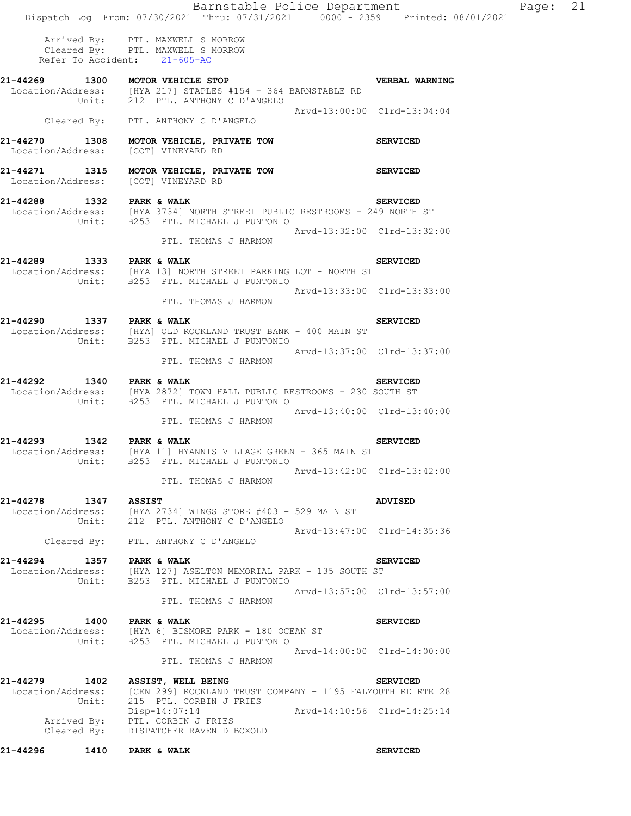|                                     | Barnstable Police Department<br>Dispatch Log From: 07/30/2021 Thru: 07/31/2021 0000 - 2359 Printed: 08/01/2021                                        |                             |
|-------------------------------------|-------------------------------------------------------------------------------------------------------------------------------------------------------|-----------------------------|
|                                     | Arrived By: PTL. MAXWELL S MORROW<br>Cleared By: PTL. MAXWELL S MORROW<br>Refer To Accident: 21-605-AC                                                |                             |
|                                     | 21-44269 1300 MOTOR VEHICLE STOP<br>Location/Address: [HYA 217] STAPLES #154 - 364 BARNSTABLE RD<br>Unit: 212 PTL. ANTHONY C D'ANGELO                 | <b>VERBAL WARNING</b>       |
|                                     | Cleared By: PTL. ANTHONY C D'ANGELO                                                                                                                   | Arvd-13:00:00 Clrd-13:04:04 |
|                                     | 21-44270 1308 MOTOR VEHICLE, PRIVATE TOW<br>Location/Address: [COT] VINEYARD RD                                                                       | <b>SERVICED</b>             |
| Location/Address: [COT] VINEYARD RD | 21-44271 1315 MOTOR VEHICLE, PRIVATE TOW SERVICED                                                                                                     |                             |
|                                     | 21-44288 1332 PARK & WALK SERVICED<br>Location/Address: [HYA 3734] NORTH STREET PUBLIC RESTROOMS - 249 NORTH ST<br>Unit: B253 PTL. MICHAEL J PUNTONIO |                             |
|                                     | PTL. THOMAS J HARMON                                                                                                                                  | Arvd-13:32:00 Clrd-13:32:00 |
| 21-44289 1333 PARK & WALK           | Location/Address: [HYA 13] NORTH STREET PARKING LOT - NORTH ST<br>Unit: B253 PTL. MICHAEL J PUNTONIO                                                  | <b>SERVICED</b>             |
|                                     | PTL. THOMAS J HARMON                                                                                                                                  | Arvd-13:33:00 Clrd-13:33:00 |
|                                     | 21-44290 1337 PARK & WALK<br>Location/Address: [HYA] OLD ROCKLAND TRUST BANK - 400 MAIN ST<br>Unit: B253 PTL. MICHAEL J PUNTONIO                      | <b>SERVICED</b>             |
|                                     | PTL. THOMAS J HARMON                                                                                                                                  | Arvd-13:37:00 Clrd-13:37:00 |
| 21-44292 1340 PARK & WALK           | Location/Address: [HYA 2872] TOWN HALL PUBLIC RESTROOMS - 230 SOUTH ST<br>Unit: B253 PTL. MICHAEL J PUNTONIO                                          | <b>SERVICED</b>             |
|                                     | PTL. THOMAS J HARMON                                                                                                                                  | Arvd-13:40:00 Clrd-13:40:00 |
| 21-44293 1342 PARK & WALK           | Location/Address: [HYA 11] HYANNIS VILLAGE GREEN - 365 MAIN ST<br>Unit: B253 PTL. MICHAEL J PUNTONIO                                                  | <b>SERVICED</b>             |
|                                     | PTL. THOMAS J HARMON                                                                                                                                  | Arvd-13:42:00 Clrd-13:42:00 |
| 21-44278<br>1347 ASSIST             | Location/Address: [HYA 2734] WINGS STORE #403 - 529 MAIN ST<br>Unit: 212 PTL. ANTHONY C D'ANGELO                                                      | <b>ADVISED</b>              |
|                                     | Cleared By: PTL. ANTHONY C D'ANGELO                                                                                                                   | Arvd-13:47:00 Clrd-14:35:36 |
| 21-44294 1357 PARK & WALK           | Location/Address: [HYA 127] ASELTON MEMORIAL PARK - 135 SOUTH ST<br>Unit: B253 PTL. MICHAEL J PUNTONIO                                                | <b>SERVICED</b>             |
|                                     | PTL. THOMAS J HARMON                                                                                                                                  | Arvd-13:57:00 Clrd-13:57:00 |
| 21-44295 1400 PARK & WALK           | Location/Address: [HYA 6] BISMORE PARK - 180 OCEAN ST<br>Unit: B253 PTL. MICHAEL J PUNTONIO                                                           | <b>SERVICED</b>             |
|                                     | PTL. THOMAS J HARMON                                                                                                                                  | Arvd-14:00:00 Clrd-14:00:00 |
| Location/Address:<br>Unit:          | 21-44279 1402 ASSIST, WELL BEING<br>[CEN 299] ROCKLAND TRUST COMPANY - 1195 FALMOUTH RD RTE 28<br>215 PTL. CORBIN J FRIES                             | <b>SERVICED</b>             |
|                                     | Disp-14:07:14<br>Arrived By: PTL. CORBIN J FRIES<br>Cleared By: DISPATCHER RAVEN D BOXOLD                                                             | Arvd-14:10:56 Clrd-14:25:14 |
| 21-44296                            | 1410 PARK & WALK                                                                                                                                      | <b>SERVICED</b>             |

Page: 21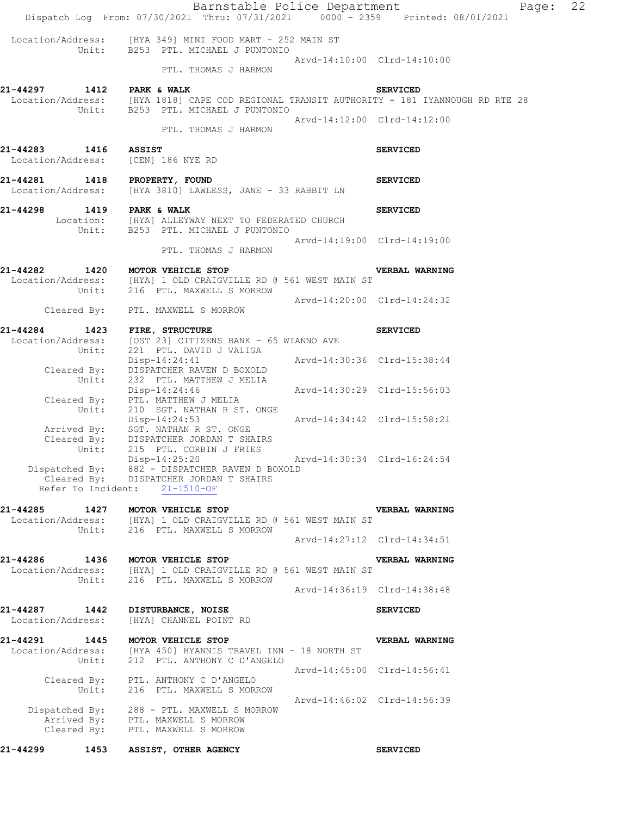|                                        | Barnstable Police Department<br>Dispatch Log From: 07/30/2021 Thru: 07/31/2021 0000 - 2359 Printed: 08/01/2021                         |                             |                             | Page: | 22 |
|----------------------------------------|----------------------------------------------------------------------------------------------------------------------------------------|-----------------------------|-----------------------------|-------|----|
|                                        | Location/Address: [HYA 349] MINI FOOD MART - 252 MAIN ST<br>Unit: B253 PTL. MICHAEL J PUNTONIO                                         |                             |                             |       |    |
|                                        | PTL. THOMAS J HARMON                                                                                                                   |                             | Arvd-14:10:00 Clrd-14:10:00 |       |    |
| 21-44297 1412 PARK & WALK              | Location/Address: [HYA 1818] CAPE COD REGIONAL TRANSIT AUTHORITY - 181 IYANNOUGH RD RTE 28<br>Unit: B253 PTL. MICHAEL J PUNTONIO       |                             | <b>SERVICED</b>             |       |    |
|                                        | PTL. THOMAS J HARMON                                                                                                                   |                             | Arvd-14:12:00 Clrd-14:12:00 |       |    |
| 21-44283 1416<br>Location/Address:     | <b>ASSIST</b><br>[CEN] 186 NYE RD                                                                                                      |                             | <b>SERVICED</b>             |       |    |
| 21-44281 1418 PROPERTY, FOUND          | Location/Address: [HYA 3810] LAWLESS, JANE - 33 RABBIT LN                                                                              |                             | <b>SERVICED</b>             |       |    |
| 21-44298                               | 1419 PARK & WALK<br>Location: [HYA] ALLEYWAY NEXT TO FEDERATED CHURCH<br>Unit: B253 PTL. MICHAEL J PUNTONIO                            |                             | <b>SERVICED</b>             |       |    |
|                                        | PTL. THOMAS J HARMON                                                                                                                   |                             | Arvd-14:19:00 Clrd-14:19:00 |       |    |
| 21-44282 1420 MOTOR VEHICLE STOP       | Location/Address: [HYA] 1 OLD CRAIGVILLE RD @ 561 WEST MAIN ST<br>Unit: 216 PTL. MAXWELL S MORROW                                      |                             | VERBAL WARNING              |       |    |
|                                        | Cleared By: PTL. MAXWELL S MORROW                                                                                                      | Arvd-14:20:00 Clrd-14:24:32 |                             |       |    |
| 21-44284<br>Location/Address:<br>Unit: | 1423 FIRE, STRUCTURE<br>[OST 23] CITIZENS BANK - 65 WIANNO AVE<br>221 PTL. DAVID J VALIGA                                              |                             | <b>SERVICED</b>             |       |    |
| Cleared By:<br>Unit:                   | Disp-14:24:41<br>DISPATCHER RAVEN D BOXOLD<br>232 PTL. MATTHEW J MELIA                                                                 | Arvd-14:30:36 Clrd-15:38:44 |                             |       |    |
| Cleared By:<br>Unit:                   | Disp-14:24:46<br>PTL. MATTHEW J MELIA<br>210 SGT. NATHAN R ST. ONGE                                                                    | Arvd-14:30:29 Clrd-15:56:03 |                             |       |    |
| Cleared By:                            | Disp-14:24:53<br>Arrived By: SGT. NATHAN R ST. ONGE<br>DISPATCHER JORDAN T SHAIRS                                                      |                             | Arvd-14:34:42 Clrd-15:58:21 |       |    |
| Unit:                                  | 215 PTL. CORBIN J FRIES<br>$Disp-14:25:20$<br>Dispatched By: 882 - DISPATCHER RAVEN D BOXOLD<br>Cleared By: DISPATCHER JORDAN T SHAIRS |                             | Arvd-14:30:34 Clrd-16:24:54 |       |    |
|                                        | Refer To Incident: 21-1510-OF                                                                                                          |                             |                             |       |    |
| 21-44285<br>1427                       | MOTOR VEHICLE STOP<br>Location/Address: [HYA] 1 OLD CRAIGVILLE RD @ 561 WEST MAIN ST<br>Unit: 216 PTL. MAXWELL S MORROW                |                             | VERBAL WARNING              |       |    |
|                                        |                                                                                                                                        |                             | Arvd-14:27:12 Clrd-14:34:51 |       |    |
| 21-44286<br>1436<br>Unit:              | MOTOR VEHICLE STOP<br>Location/Address: [HYA] 1 OLD CRAIGVILLE RD @ 561 WEST MAIN ST<br>216 PTL. MAXWELL S MORROW                      |                             | VERBAL WARNING              |       |    |
|                                        |                                                                                                                                        |                             | Arvd-14:36:19 Clrd-14:38:48 |       |    |
| 21-44287<br>1442<br>Location/Address:  | DISTURBANCE, NOISE<br>[HYA] CHANNEL POINT RD                                                                                           |                             | <b>SERVICED</b>             |       |    |
| 21-44291<br>Location/Address:<br>Unit: | 1445 MOTOR VEHICLE STOP<br>[HYA 450] HYANNIS TRAVEL INN - 18 NORTH ST<br>212 PTL. ANTHONY C D'ANGELO                                   |                             | VERBAL WARNING              |       |    |
| Cleared By:<br>Unit:                   | PTL. ANTHONY C D'ANGELO<br>216 PTL. MAXWELL S MORROW                                                                                   |                             | Arvd-14:45:00 Clrd-14:56:41 |       |    |
| Cleared By:                            | Dispatched By: 288 - PTL. MAXWELL S MORROW<br>Arrived By: PTL. MAXWELL S MORROW<br>PTL. MAXWELL S MORROW                               |                             | Arvd-14:46:02 Clrd-14:56:39 |       |    |
| 21-44299<br>1453                       | ASSIST, OTHER AGENCY                                                                                                                   |                             | <b>SERVICED</b>             |       |    |
|                                        |                                                                                                                                        |                             |                             |       |    |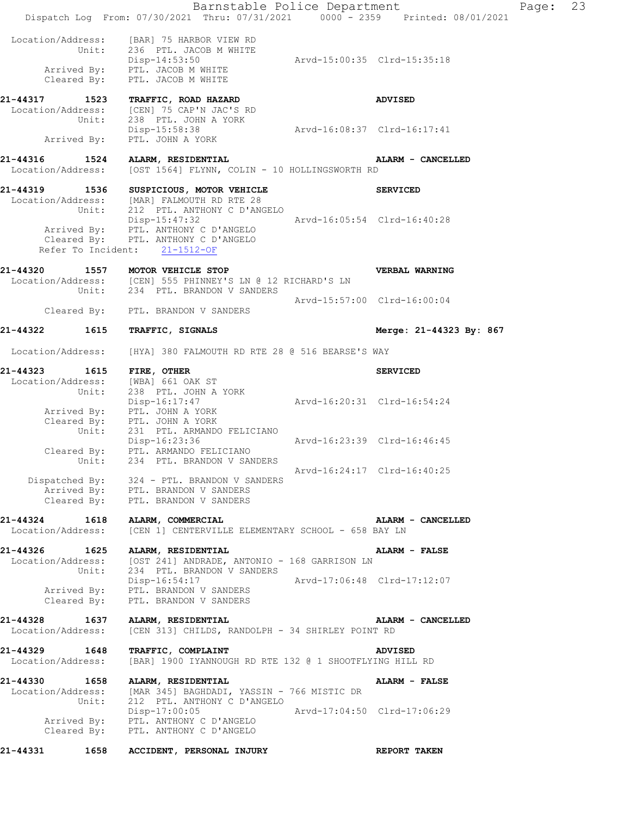|                                    |       | Barnstable Police Department<br>Dispatch Log From: 07/30/2021 Thru: 07/31/2021 0000 - 2359 Printed: 08/01/2021                                                                      |                             |                         | Page: | 23 |
|------------------------------------|-------|-------------------------------------------------------------------------------------------------------------------------------------------------------------------------------------|-----------------------------|-------------------------|-------|----|
|                                    | Unit: | Location/Address: [BAR] 75 HARBOR VIEW RD<br>236 PTL. JACOB M WHITE<br>Disp-14:53:50<br>Arrived By: PTL. JACOB M WHITE<br>Cleared By: PTL. JACOB M WHITE                            | Arvd-15:00:35 Clrd-15:35:18 |                         |       |    |
| 21-44317 1523                      |       | <b>TRAFFIC, ROAD HAZARD</b><br>Location/Address: [CEN] 75 CAP'N JAC'S RD<br>Unit: 238 PTL. JOHN A YORK                                                                              |                             | <b>ADVISED</b>          |       |    |
|                                    |       | Disp-15:58:38<br>Arrived By: PTL. JOHN A YORK                                                                                                                                       | Arvd-16:08:37 Clrd-16:17:41 |                         |       |    |
| Location/Address:                  |       | 21-44316 1524 ALARM, RESIDENTIAL<br>[OST 1564] FLYNN, COLIN - 10 HOLLINGSWORTH RD                                                                                                   |                             | ALARM - CANCELLED       |       |    |
|                                    |       | 21-44319 1536 SUSPICIOUS, MOTOR VEHICLE<br>Location/Address: [MAR] FALMOUTH RD RTE 28<br>Unit: 212 PTL. ANTHONY C D'AN<br>212 PTL. ANTHONY C D'ANGELO                               |                             | <b>SERVICED</b>         |       |    |
|                                    |       | Disp-15:47:32<br>Arrived By: PTL. ANTHONY C D'ANGELO<br>Cleared By: PTL. ANTHONY C D'ANGELO<br>Refer To Incident: 21-1512-OF                                                        | Arvd-16:05:54 Clrd-16:40:28 |                         |       |    |
|                                    |       | 21-44320 1557 MOTOR VEHICLE STOP<br>Location/Address: [CEN] 555 PHINNEY'S LN @ 12 RICHARD'S LN<br>Unit: 234 PTL. BRANDON V SANDERS                                                  |                             | VERBAL WARNING          |       |    |
|                                    |       | Cleared By: PTL. BRANDON V SANDERS                                                                                                                                                  | Arvd-15:57:00 Clrd-16:00:04 |                         |       |    |
| 21-44322                           |       | 1615 TRAFFIC, SIGNALS                                                                                                                                                               |                             | Merge: 21-44323 By: 867 |       |    |
| Location/Address:                  |       | [HYA] 380 FALMOUTH RD RTE 28 @ 516 BEARSE'S WAY                                                                                                                                     |                             |                         |       |    |
| 21-44323 1615 FIRE, OTHER          |       | Location/Address: [WBA] 661 OAK ST<br>Unit: 238 PTL. JOHN A YORK                                                                                                                    |                             | <b>SERVICED</b>         |       |    |
|                                    |       | Disp-16:17:47<br>Arrived By: PTL. JOHN A YORK<br>Cleared By: PTL. JOHN A YORK<br>Unit: 231 PTL. ARMANDO FELICIANO                                                                   | Arvd-16:20:31 Clrd-16:54:24 |                         |       |    |
|                                    |       | Disp-16:23:36<br>Cleared By: PTL. ARMANDO FELICIANO<br>Unit: 234 PTL. BRANDON V SANDERS                                                                                             | Arvd-16:23:39 Clrd-16:46:45 |                         |       |    |
|                                    |       | Dispatched By: 324 - PTL. BRANDON V SANDERS<br>Arrived By: PTL. BRANDON V SANDERS<br>Cleared By: PTL. BRANDON V SANDERS                                                             | Arvd-16:24:17 Clrd-16:40:25 |                         |       |    |
| 21-44324 1618<br>Location/Address: |       | ALARM, COMMERCIAL<br>[CEN 1] CENTERVILLE ELEMENTARY SCHOOL - 658 BAY LN                                                                                                             |                             | ALARM - CANCELLED       |       |    |
|                                    |       | 21-44326 1625 ALARM, RESIDENTIAL<br>Location/Address: [OST 241] ANDRADE, ANTONIO - 168 GARRISON LN<br>Unit: 234 PTL. BRANDON V SANDERS<br>Disp-16:54:17 Arvd-17:06:48 Clrd-17:12:07 |                             | <b>ALARM - FALSE</b>    |       |    |
|                                    |       | Arrived By: PTL. BRANDON V SANDERS<br>Cleared By: PTL. BRANDON V SANDERS                                                                                                            |                             |                         |       |    |
| 21-44328 1637<br>Location/Address: |       | ALARM, RESIDENTIAL<br>[CEN 313] CHILDS, RANDOLPH - 34 SHIRLEY POINT RD                                                                                                              |                             | ALARM - CANCELLED       |       |    |
| 21-44329 1648                      |       | <b>TRAFFIC, COMPLAINT</b><br>Location/Address: [BAR] 1900 IYANNOUGH RD RTE 132 @ 1 SHOOTFLYING HILL RD                                                                              |                             | <b>ADVISED</b>          |       |    |
|                                    |       | 21-44330 1658 ALARM, RESIDENTIAL<br>Location/Address: [MAR 345] BAGHDADI, YASSIN - 766 MISTIC DR<br>Unit: 212 PTL. ANTHONY C D'ANGELO                                               |                             | ALARM - FALSE           |       |    |
|                                    |       | Disp-17:00:05 Arvd-17:04:50 Clrd-17:06:29<br>Arrived By: PTL. ANTHONY C D'ANGELO<br>Cleared By: PTL. ANTHONY C D'ANGELO                                                             |                             |                         |       |    |
| 21-44331                           | 1658  | ACCIDENT, PERSONAL INJURY                                                                                                                                                           |                             | REPORT TAKEN            |       |    |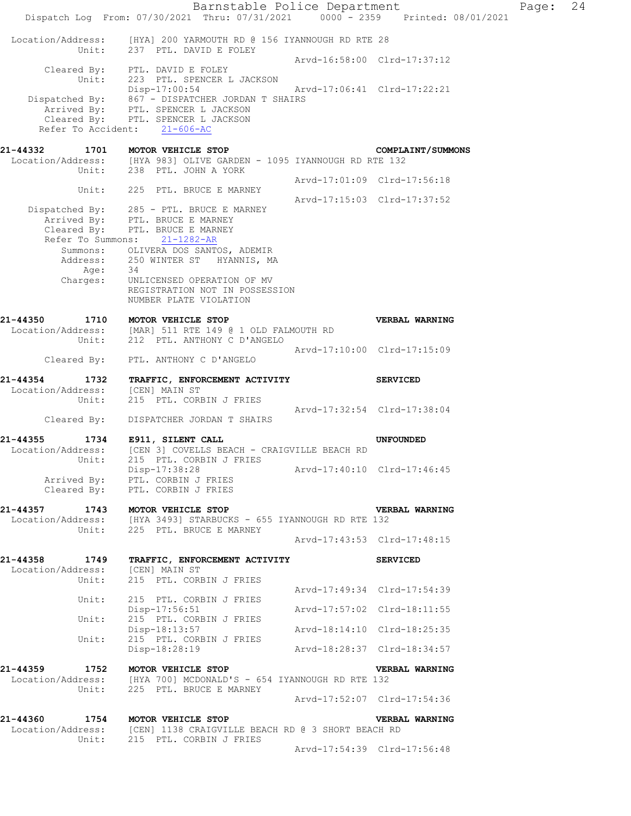Barnstable Police Department Fage: 24 Dispatch Log From: 07/30/2021 Thru: 07/31/2021 0000 - 2359 Printed: 08/01/2021 Location/Address: [HYA] 200 YARMOUTH RD @ 156 IYANNOUGH RD RTE 28 Unit: 237 PTL. DAVID E FOLEY Arvd-16:58:00 Clrd-17:37:12 Cleared By: PTL. DAVID E FOLEY Unit: 223 PTL. SPENCER L JACKSON<br>Disp-17:00:54 Disp-17:00:54 Arvd-17:06:41 Clrd-17:22:21 Dispatched By: 867 - DISPATCHER JORDAN T SHAIRS Arrived By: PTL. SPENCER L JACKSON Cleared By: PTL. SPENCER L JACKSON Refer To Accident: 21-606-AC **21-44332 1701 MOTOR VEHICLE STOP COMPLAINT/SUMMONS**  Location/Address: [HYA 983] OLIVE GARDEN - 1095 IYANNOUGH RD RTE 132 Unit: 238 PTL. JOHN A YORK Arvd-17:01:09 Clrd-17:56:18 Unit: 225 PTL. BRUCE E MARNEY Arvd-17:15:03 Clrd-17:37:52 Dispatched By: 285 - PTL. BRUCE E MARNEY Arrived By: PTL. BRUCE E MARNEY Cleared By: PTL. BRUCE E MARNEY Refer To Summons: 21-1282-AR Summons: OLIVERA DOS SANTOS, ADEMIR Address: 250 WINTER ST HYANNIS, MA Age: 34 Charges: UNLICENSED OPERATION OF MV REGISTRATION NOT IN POSSESSION NUMBER PLATE VIOLATION **21-44350 1710 MOTOR VEHICLE STOP VERBAL WARNING**  Location/Address: [MAR] 511 RTE 149 @ 1 OLD FALMOUTH RD Unit: 212 PTL. ANTHONY C D'ANGELO Arvd-17:10:00 Clrd-17:15:09 Cleared By: PTL. ANTHONY C D'ANGELO **21-44354 1732 TRAFFIC, ENFORCEMENT ACTIVITY SERVICED**  Location/Address: [CEN] MAIN ST Unit: 215 PTL. CORBIN J FRIES Arvd-17:32:54 Clrd-17:38:04 Cleared By: DISPATCHER JORDAN T SHAIRS **21-44355 1734 E911, SILENT CALL UNFOUNDED**  Location/Address: [CEN 3] COVELLS BEACH - CRAIGVILLE BEACH RD Unit: 215 PTL. CORBIN J FRIES Disp-17:38:28 Arvd-17:40:10 Clrd-17:46:45 Arrived By: PTL. CORBIN J FRIES Cleared By: PTL. CORBIN J FRIES **21-44357 1743 MOTOR VEHICLE STOP VERBAL WARNING**  Location/Address: [HYA 3493] STARBUCKS - 655 IYANNOUGH RD RTE 132 Unit: 225 PTL. BRUCE E MARNEY Arvd-17:43:53 Clrd-17:48:15 **21-44358 1749 TRAFFIC, ENFORCEMENT ACTIVITY SERVICED**  Location/Address: [CEN] MAIN ST Unit: 215 PTL. CORBIN J FRIES Arvd-17:49:34 Clrd-17:54:39<br>Unit: 215 PTL. CORBIN J FRIES 215 PTL. CORBIN J FRIES<br>Disp-17:56:51 Disp-17:56:51 Arvd-17:57:02 Clrd-18:11:55 Unit: 215 PTL. CORBIN J FRIES Disp-18:13:57 Arvd-18:14:10 Clrd-18:25:35 Unit: 215 PTL. CORBIN J FRIES Disp-18:28:19 Arvd-18:28:37 Clrd-18:34:57 **21-44359 1752 MOTOR VEHICLE STOP VERBAL WARNING**  Location/Address: [HYA 700] MCDONALD'S - 654 IYANNOUGH RD RTE 132 Unit: 225 PTL. BRUCE E MARNEY Arvd-17:52:07 Clrd-17:54:36 **21-44360 1754 MOTOR VEHICLE STOP VERBAL WARNING**  Location/Address: [CEN] 1138 CRAIGVILLE BEACH RD @ 3 SHORT BEACH RD Unit: 215 PTL. CORBIN J FRIES Arvd-17:54:39 Clrd-17:56:48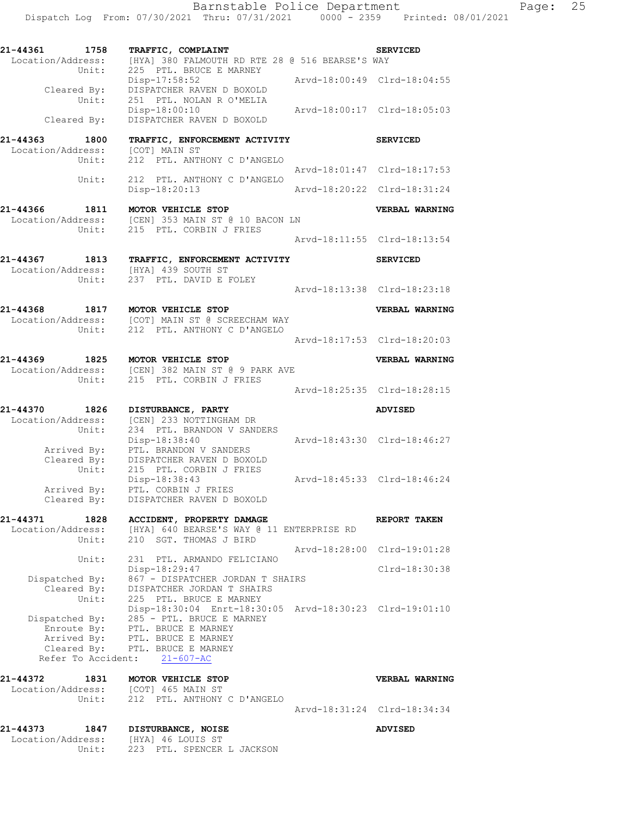| 21-44373                           | 1847           | DISTURBANCE, NOISE                                                                   |                             | <b>ADVISED</b>              |
|------------------------------------|----------------|--------------------------------------------------------------------------------------|-----------------------------|-----------------------------|
|                                    |                |                                                                                      |                             | Arvd-18:31:24 Clrd-18:34:34 |
|                                    | Unit:          | Location/Address: [COT] 465 MAIN ST<br>212 PTL. ANTHONY C D'ANGELO                   |                             |                             |
| 21-44372                           | 1831           | MOTOR VEHICLE STOP                                                                   |                             | VERBAL WARNING              |
|                                    |                | Refer To Accident: 21-607-AC                                                         |                             |                             |
|                                    | Cleared By:    | PTL. BRUCE E MARNEY                                                                  |                             |                             |
|                                    | Enroute By:    | Arrived By: PTL. BRUCE E MARNEY                                                      |                             |                             |
|                                    | Dispatched By: | 285 - PTL. BRUCE E MARNEY<br>PTL. BRUCE E MARNEY                                     |                             |                             |
|                                    | Unit:          | 225 PTL. BRUCE E MARNEY<br>Disp-18:30:04 Enrt-18:30:05 Arvd-18:30:23 Clrd-19:01:10   |                             |                             |
|                                    | Cleared By:    | DISPATCHER JORDAN T SHAIRS                                                           |                             |                             |
|                                    | Dispatched By: | 867 - DISPATCHER JORDAN T SHAIRS                                                     |                             |                             |
|                                    |                | Disp-18:29:47                                                                        |                             | Clrd-18:30:38               |
|                                    | Unit:          | 231 PTL. ARMANDO FELICIANO                                                           |                             | Arvd-18:28:00 Clrd-19:01:28 |
|                                    | Unit:          | 210 SGT. THOMAS J BIRD                                                               |                             |                             |
| 21-44371<br>Location/Address:      | 1828           | ACCIDENT, PROPERTY DAMAGE<br>[HYA] 640 BEARSE'S WAY @ 11 ENTERPRISE RD               |                             | REPORT TAKEN                |
|                                    |                |                                                                                      |                             |                             |
|                                    |                | Cleared By: DISPATCHER RAVEN D BOXOLD                                                |                             |                             |
|                                    | Arrived By:    | Disp-18:38:43<br>PTL. CORBIN J FRIES                                                 |                             | Arvd-18:45:33 Clrd-18:46:24 |
|                                    | Unit:          | 215 PTL. CORBIN J FRIES                                                              |                             |                             |
|                                    | Cleared By:    | DISPATCHER RAVEN D BOXOLD                                                            |                             |                             |
|                                    | Arrived By:    | Disp-18:38:40<br>PTL. BRANDON V SANDERS                                              |                             | Arvd-18:43:30 Clrd-18:46:27 |
|                                    | Unit:          | 234 PTL. BRANDON V SANDERS                                                           |                             |                             |
| Location/Address:                  |                | [CEN] 233 NOTTINGHAM DR                                                              |                             |                             |
| 21-44370 1826                      |                | <b>DISTURBANCE, PARTY</b>                                                            |                             | ADVISED                     |
|                                    |                |                                                                                      |                             | Arvd-18:25:35 Clrd-18:28:15 |
|                                    |                | Unit: 215 PTL. CORBIN J FRIES                                                        |                             |                             |
|                                    |                | 21-44369 1825 MOTOR VEHICLE STOP<br>Location/Address: [CEN] 382 MAIN ST @ 9 PARK AVE |                             | <b>VERBAL WARNING</b>       |
|                                    |                |                                                                                      |                             | Arvd-18:17:53 Clrd-18:20:03 |
|                                    |                | Unit: 212 PTL. ANTHONY C D'ANGELO                                                    |                             |                             |
| 21-44368                           |                | 1-44368 1817 MOTOR VEHICLE STOP<br>Location/Address: [COT] MAIN ST @ SCREECHAM WAY   |                             | VERBAL WARNING              |
|                                    |                |                                                                                      |                             |                             |
|                                    |                | Unit: 237 PTL. DAVID E FOLEY                                                         |                             | Arvd-18:13:38 Clrd-18:23:18 |
| Location/Address:                  |                | [HYA] 439 SOUTH ST                                                                   |                             |                             |
| 21-44367 1813                      |                | TRAFFIC, ENFORCEMENT ACTIVITY                                                        |                             | <b>SERVICED</b>             |
|                                    |                |                                                                                      |                             | Arvd-18:11:55 Clrd-18:13:54 |
|                                    |                | Location/Address: [CEN] 353 MAIN ST @ 10 BACON LN<br>Unit: 215 PTL. CORBIN J FRIES   |                             |                             |
| 21-44366                           | 1811           | MOTOR VEHICLE STOP                                                                   |                             | VERBAL WARNING              |
|                                    |                | Disp-18:20:13                                                                        | Arvd-18:20:22 Clrd-18:31:24 |                             |
|                                    | Unit:          | 212 PTL. ANTHONY C D'ANGELO                                                          |                             |                             |
|                                    | Unit:          | 212 PTL. ANTHONY C D'ANGELO                                                          |                             | Arvd-18:01:47 Clrd-18:17:53 |
| Location/Address:                  |                | [COT] MAIN ST                                                                        |                             |                             |
| 21-44363 1800                      |                | TRAFFIC, ENFORCEMENT ACTIVITY                                                        |                             | <b>SERVICED</b>             |
|                                    | Cleared By:    | Disp-18:00:10<br>DISPATCHER RAVEN D BOXOLD                                           |                             | Arvd-18:00:17 Clrd-18:05:03 |
|                                    | Unit:          | 251 PTL. NOLAN R O'MELIA                                                             |                             |                             |
|                                    | Cleared By:    | Disp-17:58:52<br>DISPATCHER RAVEN D BOXOLD                                           |                             | Arvd-18:00:49 Clrd-18:04:55 |
|                                    | Unit:          | 225 PTL. BRUCE E MARNEY                                                              |                             |                             |
| 21-44361 1758<br>Location/Address: |                | TRAFFIC, COMPLAINT<br>[HYA] 380 FALMOUTH RD RTE 28 @ 516 BEARSE'S WAY                |                             | <b>SERVICED</b>             |
|                                    |                |                                                                                      |                             |                             |

Location/Address: [HYA] 46 LOUIS ST

Unit: 223 PTL. SPENCER L JACKSON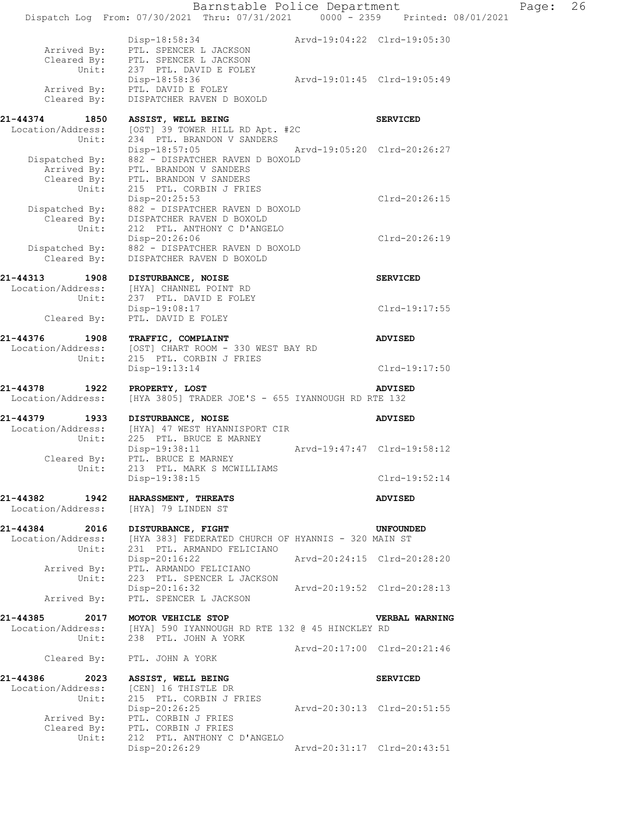Barnstable Police Department Page: 26 Dispatch Log From: 07/30/2021 Thru: 07/31/2021 0000 - 2359 Printed: 08/01/2021 Disp-18:58:34 Arvd-19:04:22 Clrd-19:05:30 Arrived By: PTL. SPENCER L JACKSON Cleared By: PTL. SPENCER L JACKSON Unit: 237 PTL. DAVID E FOLEY Disp-18:58:36 Arvd-19:01:45 Clrd-19:05:49 Arrived By: PTL. DAVID E FOLEY Cleared By: DISPATCHER RAVEN D BOXOLD **21-44374 1850 ASSIST, WELL BEING SERVICED**  Location/Address: [OST] 39 TOWER HILL RD Apt. #2C Unit: 234 PTL. BRANDON V SANDERS Disp-18:57:05 Arvd-19:05:20 Clrd-20:26:27 Dispatched By: 882 - DISPATCHER RAVEN D BOXOLD Arrived By: PTL. BRANDON V SANDERS Cleared By: PTL. BRANDON V SANDERS Unit: 215 PTL. CORBIN J FRIES Disp-20:25:53 Clrd-20:26:15 Dispatched By: 882 - DISPATCHER RAVEN D BOXOLD Cleared By: DISPATCHER RAVEN D BOXOLD Unit: 212 PTL. ANTHONY C D'ANGELO Disp-20:26:06 Clrd-20:26:19 Dispatched By: 882 - DISPATCHER RAVEN D BOXOLD Cleared By: DISPATCHER RAVEN D BOXOLD **21-44313 1908 DISTURBANCE, NOISE SERVICED**  Location/Address: [HYA] CHANNEL POINT RD Unit: 237 PTL. DAVID E FOLEY Disp-19:08:17 Clrd-19:17:55 Cleared By: PTL. DAVID E FOLEY **21-44376 1908 TRAFFIC, COMPLAINT ADVISED**  Location/Address: [OST] CHART ROOM - 330 WEST BAY RD Unit: 215 PTL. CORBIN J FRIES Disp-19:13:14 Clrd-19:17:50 **21-44378 1922 PROPERTY, LOST ADVISED**  Location/Address: [HYA 3805] TRADER JOE'S - 655 IYANNOUGH RD RTE 132 **21-44379 1933 DISTURBANCE, NOISE ADVISED**  Location/Address: [HYA] 47 WEST HYANNISPORT CIR Unit: 225 PTL. BRUCE E MARNEY Disp-19:38:11 Arvd-19:47:47 Clrd-19:58:12 Cleared By: PTL. BRUCE E MARNEY Unit: 213 PTL. MARK S MCWILLIAMS Disp-19:38:15 Clrd-19:52:14 **21-44382 1942 HARASSMENT, THREATS ADVISED**  Location/Address: [HYA] 79 LINDEN ST **21-44384 2016 DISTURBANCE, FIGHT UNFOUNDED**  Location/Address: [HYA 383] FEDERATED CHURCH OF HYANNIS - 320 MAIN ST Unit: 231 PTL. ARMANDO FELICIANO Disp-20:16:22 Arvd-20:24:15 Clrd-20:28:20 Arrived By: PTL. ARMANDO FELICIANO Unit: 223 PTL. SPENCER L JACKSON Disp-20:16:32 Arvd-20:19:52 Clrd-20:28:13 Arrived By: PTL. SPENCER L JACKSON **21-44385 2017 MOTOR VEHICLE STOP VERBAL WARNING**  Location/Address: [HYA] 590 IYANNOUGH RD RTE 132 @ 45 HINCKLEY RD Unit: 238 PTL. JOHN A YORK Arvd-20:17:00 Clrd-20:21:46 Cleared By: PTL. JOHN A YORK **21-44386 2023 ASSIST, WELL BEING SERVICED**  Location/Address: [CEN] 16 THISTLE DR Unit: 215 PTL. CORBIN J FRIES Disp-20:26:25 Arvd-20:30:13 Clrd-20:51:55 Arrived By: PTL. CORBIN J FRIES Cleared By: PTL. CORBIN J FRIES Unit: 212 PTL. ANTHONY C D'ANGELO Disp-20:26:29 Arvd-20:31:17 Clrd-20:43:51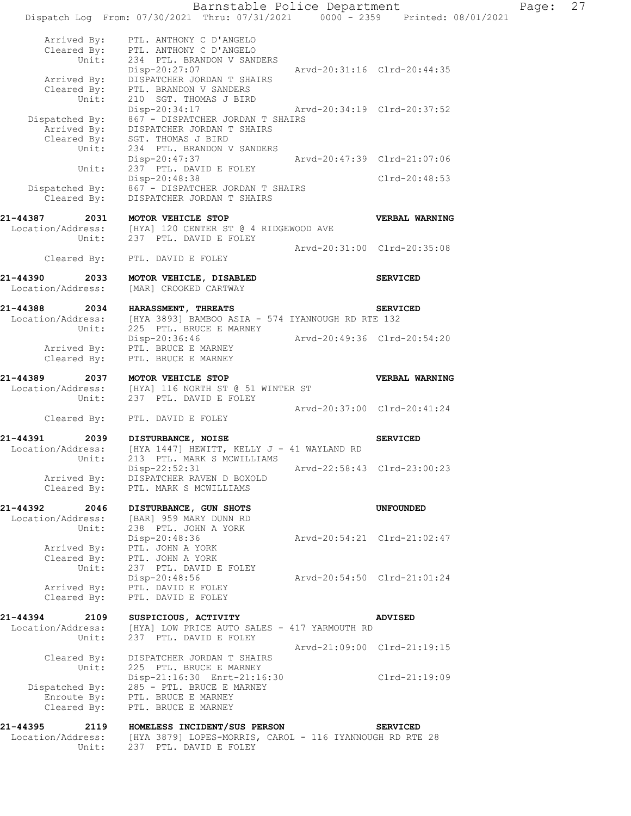Barnstable Police Department Page: 27 Dispatch Log From: 07/30/2021 Thru: 07/31/2021 0000 - 2359 Printed: 08/01/2021 Arrived By: PTL. ANTHONY C D'ANGELO Cleared By: PTL. ANTHONY C D'ANGELO Unit: 234 PTL. BRANDON V SANDERS Disp-20:27:07 Arvd-20:31:16 Clrd-20:44:35 Arrived By: DISPATCHER JORDAN T SHAIRS Cleared By: PTL. BRANDON V SANDERS Unit: 210 SGT. THOMAS J BIRD Disp-20:34:17 Arvd-20:34:19 Clrd-20:37:52 Dispatched By: 867 - DISPATCHER JORDAN T SHAIRS Arrived By: DISPATCHER JORDAN T SHAIRS Cleared By: SGT. THOMAS J BIRD Unit: 234 PTL. BRANDON V SANDERS Disp-20:47:37 Arvd-20:47:39 Clrd-21:07:06 Unit: 237 PTL. DAVID E FOLEY Disp-20:48:38 Clrd-20:48:53 Dispatched By: 867 - DISPATCHER JORDAN T SHAIRS Cleared By: DISPATCHER JORDAN T SHAIRS **21-44387 2031 MOTOR VEHICLE STOP VERBAL WARNING**  Location/Address: [HYA] 120 CENTER ST @ 4 RIDGEWOOD AVE Unit: 237 PTL. DAVID E FOLEY Arvd-20:31:00 Clrd-20:35:08 Cleared By: PTL. DAVID E FOLEY **21-44390 2033 MOTOR VEHICLE, DISABLED SERVICED**  Location/Address: [MAR] CROOKED CARTWAY **21-44388 2034 HARASSMENT, THREATS SERVICED**  Location/Address: [HYA 3893] BAMBOO ASIA - 574 IYANNOUGH RD RTE 132 Unit: 225 PTL. BRUCE E MARNEY Disp-20:36:46 Arvd-20:49:36 Clrd-20:54:20 Arrived By: PTL. BRUCE E MARNEY Cleared By: PTL. BRUCE E MARNEY **21-44389 2037 MOTOR VEHICLE STOP VERBAL WARNING**  Location/Address: [HYA] 116 NORTH ST @ 51 WINTER ST Unit: 237 PTL. DAVID E FOLEY Arvd-20:37:00 Clrd-20:41:24 Cleared By: PTL. DAVID E FOLEY **21-44391 2039 DISTURBANCE, NOISE SERVICED**  Location/Address: [HYA 1447] HEWITT, KELLY J - 41 WAYLAND RD Unit: 213 PTL. MARK S MCWILLIAMS Disp-22:52:31 Arvd-22:58:43 Clrd-23:00:23 Arrived By: DISPATCHER RAVEN D BOXOLD Cleared By: PTL. MARK S MCWILLIAMS **21-44392 2046 DISTURBANCE, GUN SHOTS UNFOUNDED**  Location/Address: [BAR] 959 MARY DUNN RD Unit: 238 PTL. JOHN A YORK<br>Disp-20:48:36 Disp-20:48:36 Arvd-20:54:21 Clrd-21:02:47 Arrived By: PTL. JOHN A YORK Cleared By: PTL. JOHN A YORK Unit: 237 PTL. DAVID E FOLEY Disp-20:48:56 Arvd-20:54:50 Clrd-21:01:24 Arrived By: PTL. DAVID E FOLEY Cleared By: PTL. DAVID E FOLEY **21-44394 2109 SUSPICIOUS, ACTIVITY ADVISED**  Location/Address: [HYA] LOW PRICE AUTO SALES - 417 YARMOUTH RD Unit: 237 PTL. DAVID E FOLEY Arvd-21:09:00 Clrd-21:19:15 Cleared By: DISPATCHER JORDAN T SHAIRS Unit: 225 PTL. BRUCE E MARNEY Disp-21:16:30 Enrt-21:16:30 Clrd-21:19:09 Dispatched By: 285 - PTL. BRUCE E MARNEY Enroute By: PTL. BRUCE E MARNEY Cleared By: PTL. BRUCE E MARNEY **21-44395 2119 HOMELESS INCIDENT/SUS PERSON SERVICED**  Location/Address: [HYA 3879] LOPES-MORRIS, CAROL - 116 IYANNOUGH RD RTE 28

Unit: 237 PTL. DAVID E FOLEY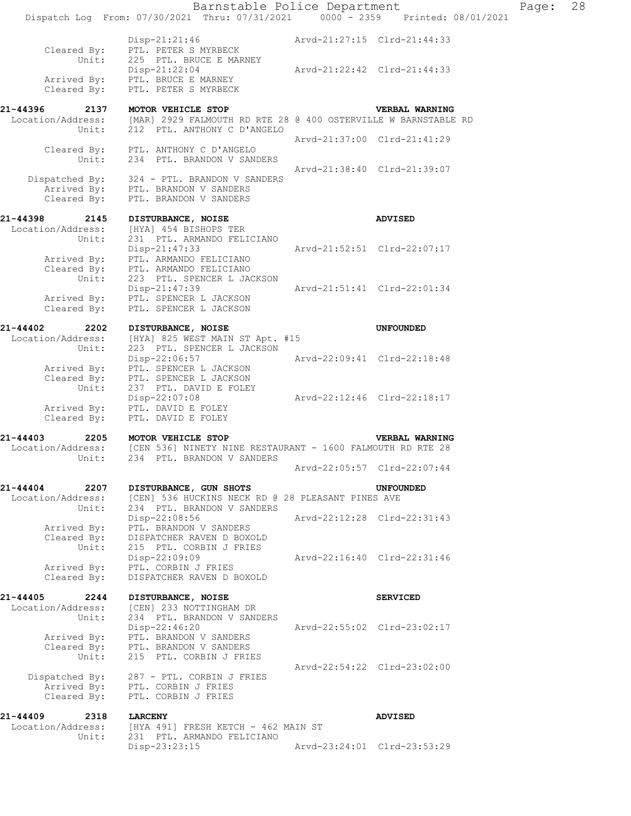|                                                | Barnstable Police Department<br>Dispatch Log From: 07/30/2021 Thru: 07/31/2021 0000 - 2359 Printed: 08/01/2021 |                             |                             | Page: | 28 |
|------------------------------------------------|----------------------------------------------------------------------------------------------------------------|-----------------------------|-----------------------------|-------|----|
| Cleared By:<br>Unit:                           | $Disp-21:21:46$<br>PTL. PETER S MYRBECK<br>225 PTL. BRUCE E MARNEY                                             |                             | Arvd-21:27:15 Clrd-21:44:33 |       |    |
| Arrived By:<br>Cleared By:                     | Disp-21:22:04<br>PTL. BRUCE E MARNEY<br>PTL. PETER S MYRBECK                                                   | Arvd-21:22:42 Clrd-21:44:33 |                             |       |    |
| 21-44396<br>2137                               | MOTOR VEHICLE STOP                                                                                             |                             | <b>VERBAL WARNING</b>       |       |    |
| Location/Address:<br>Unit:                     | [MAR] 2929 FALMOUTH RD RTE 28 @ 400 OSTERVILLE W BARNSTABLE RD<br>212 PTL. ANTHONY C D'ANGELO                  |                             | Arvd-21:37:00 Clrd-21:41:29 |       |    |
| Cleared By:<br>Unit:                           | PTL. ANTHONY C D'ANGELO<br>234 PTL. BRANDON V SANDERS                                                          |                             |                             |       |    |
| Cleared By:                                    | Dispatched By: 324 - PTL. BRANDON V SANDERS<br>Arrived By: PTL. BRANDON V SANDERS<br>PTL. BRANDON V SANDERS    |                             | Arvd-21:38:40 Clrd-21:39:07 |       |    |
| 21-44398<br>2145<br>Location/Address:          | DISTURBANCE, NOISE<br>[HYA] 454 BISHOPS TER                                                                    |                             | <b>ADVISED</b>              |       |    |
| Unit:<br>Arrived By:<br>Cleared By:            | 231 PTL. ARMANDO FELICIANO<br>Disp-21:47:33<br>PTL. ARMANDO FELICIANO<br>PTL. ARMANDO FELICIANO                |                             | Arvd-21:52:51 Clrd-22:07:17 |       |    |
| Unit:<br>Arrived By:<br>Cleared By:            | 223 PTL. SPENCER L JACKSON<br>Disp-21:47:39<br>PTL. SPENCER L JACKSON<br>PTL. SPENCER L JACKSON                |                             | Arvd-21:51:41 Clrd-22:01:34 |       |    |
|                                                |                                                                                                                |                             |                             |       |    |
| 21-44402<br>2202<br>Location/Address:<br>Unit: | DISTURBANCE, NOISE<br>[HYA] 825 WEST MAIN ST Apt. #15<br>223 PTL. SPENCER L JACKSON                            |                             | <b>UNFOUNDED</b>            |       |    |
| Arrived By:<br>Cleared By:<br>Unit:            | Disp-22:06:57<br>PTL. SPENCER L JACKSON<br>PTL. SPENCER L JACKSON<br>237 PTL. DAVID E FOLEY                    | Arvd-22:09:41 Clrd-22:18:48 |                             |       |    |
| Arrived By:<br>Cleared By:                     | Disp-22:07:08<br>PTL. DAVID E FOLEY<br>PTL. DAVID E FOLEY                                                      | Arvd-22:12:46 Clrd-22:18:17 |                             |       |    |
| 21-44403<br>2205                               | MOTOR VEHICLE STOP                                                                                             |                             | VERBAL WARNING              |       |    |
| Location/Address:                              | [CEN 536] NINETY NINE RESTAURANT - 1600 FALMOUTH RD RTE 28                                                     |                             |                             |       |    |
| Unit:                                          | 234 PTL. BRANDON V SANDERS                                                                                     |                             | Arvd-22:05:57 Clrd-22:07:44 |       |    |
| 21-44404<br>2207<br>Location/Address:          | DISTURBANCE, GUN SHOTS<br>[CEN] 536 HUCKINS NECK RD @ 28 PLEASANT PINES AVE                                    |                             | <b>UNFOUNDED</b>            |       |    |
| Unit:<br>Arrived By:                           | 234 PTL. BRANDON V SANDERS<br>$Disp-22:08:56$<br>PTL. BRANDON V SANDERS                                        |                             | Arvd-22:12:28 Clrd-22:31:43 |       |    |
| Cleared By:<br>Unit:                           | DISPATCHER RAVEN D BOXOLD<br>215 PTL. CORBIN J FRIES<br>Disp-22:09:09                                          | Arvd-22:16:40 Clrd-22:31:46 |                             |       |    |
| Arrived By:<br>Cleared By:                     | PTL. CORBIN J FRIES<br>DISPATCHER RAVEN D BOXOLD                                                               |                             |                             |       |    |
| 21-44405<br>2244<br>Location/Address:          | DISTURBANCE, NOISE<br>[CEN] 233 NOTTINGHAM DR                                                                  |                             | <b>SERVICED</b>             |       |    |
| Unit:<br>Arrived By:                           | 234 PTL. BRANDON V SANDERS<br>$Disp-22:46:20$<br>PTL. BRANDON V SANDERS                                        |                             | Arvd-22:55:02 Clrd-23:02:17 |       |    |
| Cleared By:<br>Unit:                           | PTL. BRANDON V SANDERS<br>215 PTL. CORBIN J FRIES                                                              |                             | Arvd-22:54:22 Clrd-23:02:00 |       |    |
| Arrived By:<br>Cleared By:                     | Dispatched By: 287 - PTL. CORBIN J FRIES<br>PTL. CORBIN J FRIES<br>PTL. CORBIN J FRIES                         |                             |                             |       |    |
| 21-44409<br>2318<br>Location/Address:          | <b>LARCENY</b><br>[HYA 491] FRESH KETCH - 462 MAIN ST                                                          |                             | <b>ADVISED</b>              |       |    |
| Unit:                                          | 231 PTL. ARMANDO FELICIANO<br>Disp-23:23:15                                                                    | Arvd-23:24:01 Clrd-23:53:29 |                             |       |    |